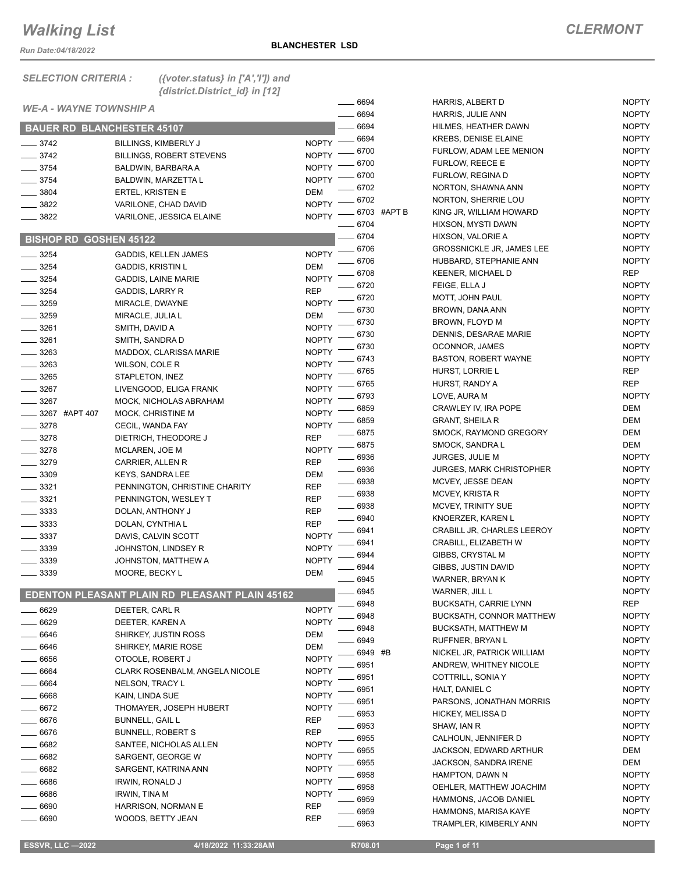*Run Date:04/18/2022*

NOPTY

| <b>SELECTION CRITERIA:</b>        | ({voter.status} in $['A', 'T']$ ) and<br>{district.District_id} in [12] |              |             |                                  |              |
|-----------------------------------|-------------------------------------------------------------------------|--------------|-------------|----------------------------------|--------------|
| <b>WE-A - WAYNE TOWNSHIP A</b>    |                                                                         |              | 6694        | HARRIS, ALBERT D                 | <b>NOPTY</b> |
|                                   |                                                                         |              | 6694        | <b>HARRIS, JULIE ANN</b>         | <b>NOPTY</b> |
| <b>BAUER RD BLANCHESTER 45107</b> |                                                                         |              | 6694        | HILMES, HEATHER DAWN             | <b>NOPTY</b> |
| $\frac{1}{2}$ 3742                | <b>BILLINGS, KIMBERLY J</b>                                             | <b>NOPTY</b> | 6694        | <b>KREBS, DENISE ELAINE</b>      | <b>NOPTY</b> |
| $\frac{3742}{2}$                  | <b>BILLINGS, ROBERT STEVENS</b>                                         | <b>NOPTY</b> | 6700        | FURLOW, ADAM LEE MENION          | <b>NOPTY</b> |
| $- 3754$                          | BALDWIN, BARBARA A                                                      | <b>NOPTY</b> | 6700        | FURLOW, REECE E                  | <b>NOPTY</b> |
| $\frac{1}{2}$ 3754                | BALDWIN, MARZETTA L                                                     | <b>NOPTY</b> | 6700        | FURLOW, REGINA D                 | <b>NOPTY</b> |
| $- 3804$                          | <b>ERTEL, KRISTEN E</b>                                                 | <b>DEM</b>   | 6702        | NORTON, SHAWNA ANN               | <b>NOPTY</b> |
| $- 3822$                          | VARILONE, CHAD DAVID                                                    | <b>NOPTY</b> | 6702        | NORTON, SHERRIE LOU              | <b>NOPTY</b> |
| $- 3822$                          | VARILONE, JESSICA ELAINE                                                | <b>NOPTY</b> | 6703 #APT B | KING JR, WILLIAM HOWARD          | <b>NOPTY</b> |
|                                   |                                                                         |              | - 6704      | HIXSON, MYSTI DAWN               | <b>NOPTY</b> |
| <b>BISHOP RD GOSHEN 45122</b>     |                                                                         |              | $-6704$     | HIXSON, VALORIE A                | <b>NOPTY</b> |
| $- 3254$                          | <b>GADDIS, KELLEN JAMES</b>                                             | <b>NOPTY</b> | 6706        | <b>GROSSNICKLE JR, JAMES LEE</b> | <b>NOPTY</b> |
| $- 3254$                          | <b>GADDIS, KRISTIN L</b>                                                | <b>DEM</b>   | 6706        | HUBBARD, STEPHANIE ANN           | <b>NOPTY</b> |
| $- 3254$                          | GADDIS, LAINE MARIE                                                     | <b>NOPTY</b> | $-6708$     | <b>KEENER, MICHAEL D</b>         | <b>REP</b>   |
| $- 3254$                          | <b>GADDIS, LARRY R</b>                                                  | <b>REP</b>   | _ 6720      | FEIGE, ELLA J                    | <b>NOPTY</b> |
| $- 3259$                          | MIRACLE, DWAYNE                                                         | <b>NOPTY</b> | . 6720      | MOTT, JOHN PAUL                  | <b>NOPTY</b> |
| $- 3259$                          | MIRACLE, JULIA L                                                        | <b>DEM</b>   | 6730        | BROWN, DANA ANN                  | <b>NOPTY</b> |
| $- 3261$                          | SMITH, DAVID A                                                          | <b>NOPTY</b> | $-6730$     | BROWN, FLOYD M                   | <b>NOPTY</b> |
| $\frac{1}{2}$ 3261                | SMITH, SANDRA D                                                         | <b>NOPTY</b> | 6730        | DENNIS, DESARAE MARIE            | <b>NOPTY</b> |
| $- 3263$                          | MADDOX, CLARISSA MARIE                                                  | <b>NOPTY</b> | 6730        | OCONNOR, JAMES                   | <b>NOPTY</b> |
| $\frac{1}{2}$ 3263                | WILSON, COLE R                                                          | <b>NOPTY</b> | 6743        | <b>BASTON, ROBERT WAYNE</b>      | <b>NOPTY</b> |
| $- 3265$                          | STAPLETON, INEZ                                                         | <b>NOPTY</b> | 6765        | HURST, LORRIE L                  | <b>REP</b>   |
| $- 3267$                          | LIVENGOOD, ELIGA FRANK                                                  | <b>NOPTY</b> | 6765        | HURST, RANDY A                   | <b>REP</b>   |
| $\frac{1}{2}$ 3267                | MOCK, NICHOLAS ABRAHAM                                                  | <b>NOPTY</b> | 6793        | LOVE, AURA M                     | <b>NOPTY</b> |
| ____ 3267 #APT 407                | MOCK, CHRISTINE M                                                       | <b>NOPTY</b> | 6859        | CRAWLEY IV, IRA POPE             | DEM          |
| $- 3278$                          | CECIL, WANDA FAY                                                        | <b>NOPTY</b> | 6859        | <b>GRANT, SHEILA R</b>           | DEM          |
| $- 3278$                          | DIETRICH, THEODORE J                                                    | <b>REP</b>   | 6875        | SMOCK, RAYMOND GREGORY           | DEM          |
| $- 3278$                          | MCLAREN, JOE M                                                          | <b>NOPTY</b> | 6875        | SMOCK, SANDRA L                  | DEM          |
| $- 3279$                          | CARRIER, ALLEN R                                                        | <b>REP</b>   | 6936        | <b>JURGES, JULIE M</b>           | <b>NOPTY</b> |
| $\frac{1}{2}$ 3309                | <b>KEYS, SANDRA LEE</b>                                                 | <b>DEM</b>   | _ 6936      | <b>JURGES, MARK CHRISTOPHER</b>  | <b>NOPTY</b> |
| $\frac{1}{2}$ 3321                | PENNINGTON, CHRISTINE CHARITY                                           | <b>REP</b>   | $- 6938$    | MCVEY, JESSE DEAN                | <b>NOPTY</b> |
| $\frac{3321}{2}$                  | PENNINGTON, WESLEY T                                                    | <b>REP</b>   | $-6938$     | MCVEY, KRISTA R                  | <b>NOPTY</b> |
| $\frac{1}{2}$ 3333                | DOLAN, ANTHONY J                                                        | <b>REP</b>   | $- 6938$    | MCVEY, TRINITY SUE               | <b>NOPTY</b> |
| $\frac{1}{2}$ 3333                |                                                                         | <b>REP</b>   | $- 6940$    | KNOERZER, KAREN L                | <b>NOPTY</b> |
| $-3337$                           | DOLAN, CYNTHIA L                                                        | <b>NOPTY</b> | 6941        | CRABILL JR, CHARLES LEEROY       | <b>NOPTY</b> |
|                                   | DAVIS, CALVIN SCOTT                                                     | NOPTY -      | 6941        | CRABILL, ELIZABETH W             | <b>NOPTY</b> |
| $-3339$                           | JOHNSTON, LINDSEY R                                                     |              | 6944        | GIBBS, CRYSTAL M                 | <b>NOPTY</b> |
| _ 3339                            | JOHNSTON, MATTHEW A                                                     | <b>NOPTY</b> | 6944        | GIBBS, JUSTIN DAVID              | <b>NOPTY</b> |
| $= 3339$                          | MOORE, BECKY L                                                          | DEM          | 6945        | WARNER, BRYAN K                  | <b>NOPTY</b> |
|                                   | EDENTON PLEASANT PLAIN RD PLEASANT PLAIN 45162                          |              | 6945        | WARNER, JILL L                   | <b>NOPTY</b> |
|                                   |                                                                         |              | 6948        | <b>BUCKSATH, CARRIE LYNN</b>     | REP          |
| $- 6629$                          | DEETER, CARL R                                                          | <b>NOPTY</b> | 6948        | <b>BUCKSATH, CONNOR MATTHEW</b>  | <b>NOPTY</b> |
| $-6629$                           | DEETER, KAREN A                                                         | <b>NOPTY</b> | 6948        | <b>BUCKSATH, MATTHEW M</b>       | <b>NOPTY</b> |
| $-6646$                           | SHIRKEY, JUSTIN ROSS                                                    | DEM          | 6949        | RUFFNER, BRYAN L                 | <b>NOPTY</b> |
| $-6646$                           | SHIRKEY, MARIE ROSE                                                     | <b>DEM</b>   | 6949 #B     | NICKEL JR, PATRICK WILLIAM       | <b>NOPTY</b> |
| $- 6656$                          | OTOOLE, ROBERT J                                                        | <b>NOPTY</b> | 6951        | ANDREW, WHITNEY NICOLE           | <b>NOPTY</b> |
| $- 6664$                          | CLARK ROSENBALM, ANGELA NICOLE                                          | <b>NOPTY</b> | 6951        | COTTRILL, SONIA Y                | <b>NOPTY</b> |
| 6664                              | <b>NELSON, TRACY L</b>                                                  | <b>NOPTY</b> | 6951        | HALT, DANIEL C                   | <b>NOPTY</b> |
| $- 6668$                          | KAIN, LINDA SUE                                                         | <b>NOPTY</b> | 6951        | PARSONS, JONATHAN MORRIS         | <b>NOPTY</b> |
| $-6672$                           | THOMAYER, JOSEPH HUBERT                                                 | <b>NOPTY</b> | 6953        | HICKEY, MELISSA D                | <b>NOPTY</b> |
| $-6676$                           | <b>BUNNELL, GAIL L</b>                                                  | REP          | 6953        | SHAW, IAN R                      | <b>NOPTY</b> |
| $-6676$                           | <b>BUNNELL, ROBERT S</b>                                                | REP          | 6955        | CALHOUN, JENNIFER D              | <b>NOPTY</b> |
| $-6682$                           | SANTEE, NICHOLAS ALLEN                                                  | <b>NOPTY</b> | 6955        | JACKSON, EDWARD ARTHUR           | DEM          |
| $-6682$                           | SARGENT, GEORGE W                                                       | <b>NOPTY</b> | 6955        | JACKSON, SANDRA IRENE            | DEM          |
| 6682                              | SARGENT, KATRINA ANN                                                    | <b>NOPTY</b> | 6958        | HAMPTON, DAWN N                  | <b>NOPTY</b> |
| ____ 6686                         | IRWIN, RONALD J                                                         | <b>NOPTY</b> |             |                                  |              |
| $-6686$                           | IRWIN, TINA M                                                           | <b>NOPTY</b> | 6958        | OEHLER, MATTHEW JOACHIM          | <b>NOPTY</b> |
| 6690                              | HARRISON, NORMAN E                                                      | <b>REP</b>   | 6959        | HAMMONS, JACOB DANIEL            | <b>NOPTY</b> |
| 6690                              | WOODS, BETTY JEAN                                                       | <b>REP</b>   | 6959        | HAMMONS, MARISA KAYE             | <b>NOPTY</b> |

\_6963 TRAMPLER, KIMBERLY ANN NOPTY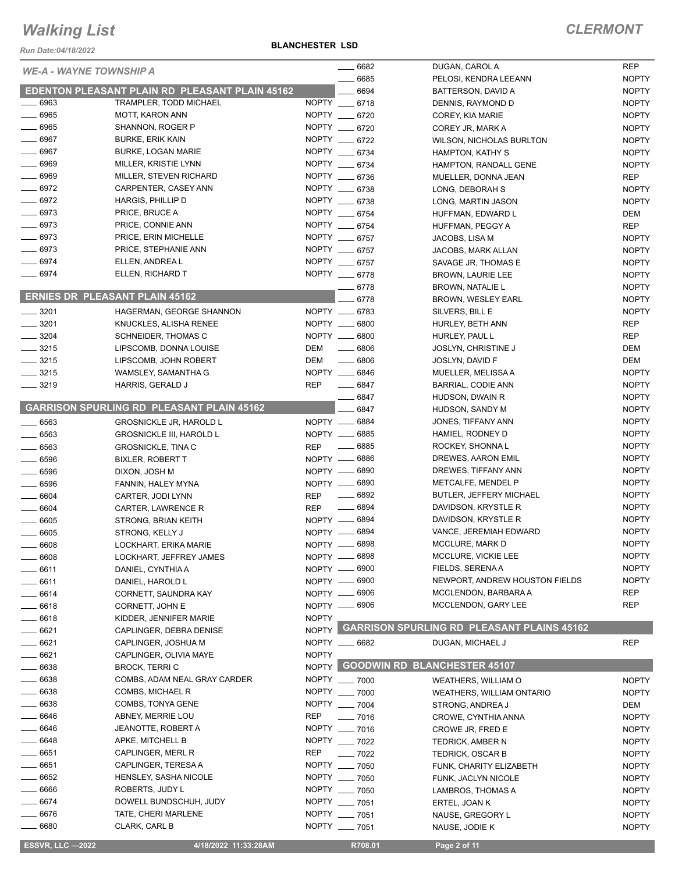### **BLANCHESTER LSD**

| Run Date:04/18/2022                   |                                                              | <b>BLANCHESTER LSD</b> |                                    |                                                  |                              |
|---------------------------------------|--------------------------------------------------------------|------------------------|------------------------------------|--------------------------------------------------|------------------------------|
|                                       |                                                              |                        | $- 6682$                           | DUGAN, CAROL A                                   | <b>REP</b>                   |
| <b>WE-A - WAYNE TOWNSHIP A</b>        |                                                              |                        | .6685                              | PELOSI, KENDRA LEEANN                            | <b>NOPTY</b>                 |
|                                       | EDENTON PLEASANT PLAIN RD PLEASANT PLAIN 45162               |                        | 6694                               | BATTERSON, DAVID A                               | <b>NOPTY</b>                 |
| $- 6963$                              | TRAMPLER, TODD MICHAEL                                       |                        | NOPTY __ 6718                      | DENNIS, RAYMOND D                                | <b>NOPTY</b>                 |
| $-6965$                               | <b>MOTT, KARON ANN</b>                                       |                        | NOPTY __ 6720                      | COREY, KIA MARIE                                 | <b>NOPTY</b>                 |
| $- 6965$                              | SHANNON, ROGER P                                             |                        | NOPTY __ 6720                      | COREY JR, MARK A                                 | <b>NOPTY</b>                 |
| $- 6967$                              | <b>BURKE, ERIK KAIN</b>                                      |                        | NOPTY __ 6722                      | <b>WILSON, NICHOLAS BURLTON</b>                  | <b>NOPTY</b>                 |
| $- 6967$                              | <b>BURKE, LOGAN MARIE</b>                                    |                        | NOPTY __ 6734                      | HAMPTON, KATHY S                                 | <b>NOPTY</b>                 |
| 6969                                  | MILLER, KRISTIE LYNN                                         |                        | NOPTY __ 6734                      | HAMPTON, RANDALL GENE                            | <b>NOPTY</b>                 |
| $\frac{1}{2}$ 6969                    | MILLER, STEVEN RICHARD                                       |                        | NOPTY __ 6736                      | MUELLER, DONNA JEAN                              | <b>REP</b>                   |
| $- 6972$                              | CARPENTER, CASEY ANN                                         |                        | NOPTY __ 6738                      | LONG, DEBORAH S                                  | <b>NOPTY</b>                 |
| $- 6972$                              | HARGIS, PHILLIP D                                            |                        | NOPTY __ 6738                      | LONG, MARTIN JASON                               | <b>NOPTY</b>                 |
| $- 6973$                              | PRICE, BRUCE A                                               |                        | NOPTY __ 6754                      | HUFFMAN, EDWARD L                                | DEM                          |
| $- 6973$                              | PRICE, CONNIE ANN                                            |                        | NOPTY __ 6754                      | HUFFMAN, PEGGY A                                 | <b>REP</b>                   |
| $- 6973$                              | PRICE, ERIN MICHELLE                                         |                        | NOPTY __ 6757                      | JACOBS, LISA M                                   | <b>NOPTY</b>                 |
| $- 6973$                              | PRICE, STEPHANIE ANN                                         |                        | NOPTY __ 6757                      | JACOBS, MARK ALLAN                               | <b>NOPTY</b>                 |
| 6974                                  | ELLEN, ANDREA L                                              |                        | NOPTY __ 6757                      | SAVAGE JR, THOMAS E                              | <b>NOPTY</b>                 |
| 6974                                  | ELLEN, RICHARD T                                             |                        | NOPTY __ 6778                      | <b>BROWN, LAURIE LEE</b>                         | <b>NOPTY</b>                 |
| <b>ERNIES DR PLEASANT PLAIN 45162</b> |                                                              |                        | $-6778$                            | <b>BROWN, NATALIE L</b>                          | <b>NOPTY</b>                 |
|                                       |                                                              |                        | 6778                               | <b>BROWN, WESLEY EARL</b>                        | <b>NOPTY</b>                 |
| $- 3201$                              | HAGERMAN, GEORGE SHANNON                                     |                        | NOPTY __ 6783                      | SILVERS, BILL E                                  | <b>NOPTY</b>                 |
| 3201                                  | KNUCKLES, ALISHA RENEE                                       |                        | NOPTY __ 6800                      | HURLEY, BETH ANN                                 | <b>REP</b>                   |
| 3204                                  | SCHNEIDER, THOMAS C                                          |                        | NOPTY __ 6800                      | HURLEY, PAUL L                                   | <b>REP</b>                   |
| $\frac{3215}{2}$                      | LIPSCOMB, DONNA LOUISE                                       | DEM                    | $- 6806$                           | <b>JOSLYN, CHRISTINE J</b>                       | <b>DEM</b>                   |
| $- 3215$                              | LIPSCOMB, JOHN ROBERT                                        | DEM                    | $\frac{1}{2}$ 6806                 | JOSLYN, DAVID F                                  | <b>DEM</b>                   |
| $-3215$                               | WAMSLEY, SAMANTHA G                                          |                        | NOPTY __ 6846                      | MUELLER, MELISSA A                               | <b>NOPTY</b>                 |
| $- 3219$                              | HARRIS, GERALD J                                             | <b>REP</b>             | $- 6847$                           | BARRIAL, CODIE ANN                               | <b>NOPTY</b>                 |
|                                       | <b>GARRISON SPURLING RD PLEASANT PLAIN 45162</b>             |                        | .6847                              | HUDSON, DWAIN R                                  | <b>NOPTY</b>                 |
|                                       |                                                              |                        | 6847                               | HUDSON, SANDY M<br>JONES, TIFFANY ANN            | <b>NOPTY</b><br><b>NOPTY</b> |
| 6563                                  | <b>GROSNICKLE JR, HAROLD L</b>                               |                        | NOPTY __ 6884<br>NOPTY __ 6885     | HAMIEL, RODNEY D                                 | <b>NOPTY</b>                 |
| $- 6563$<br>$\frac{1}{2}$ 6563        | <b>GROSNICKLE III, HAROLD L</b><br><b>GROSNICKLE, TINA C</b> | <b>REP</b>             | . 6885                             | ROCKEY, SHONNA L                                 | <b>NOPTY</b>                 |
| $-6596$                               | <b>BIXLER, ROBERT T</b>                                      |                        | NOPTY __ 6886                      | DREWES, AARON EMIL                               | <b>NOPTY</b>                 |
| $- 6596$                              | DIXON, JOSH M                                                |                        | NOPTY __ 6890                      | DREWES, TIFFANY ANN                              | <b>NOPTY</b>                 |
| 6596                                  | FANNIN, HALEY MYNA                                           |                        | NOPTY __ 6890                      | METCALFE, MENDEL P                               | <b>NOPTY</b>                 |
| $- 6604$                              | CARTER, JODI LYNN                                            | <b>REP</b>             | $- 6892$                           | <b>BUTLER, JEFFERY MICHAEL</b>                   | <b>NOPTY</b>                 |
| 6604                                  | CARTER, LAWRENCE R                                           | <b>REP</b>             | $\frac{1}{2}$ 6894                 | DAVIDSON, KRYSTLE R                              | <b>NOPTY</b>                 |
| 6605                                  | STRONG, BRIAN KEITH                                          |                        | NOPTY __ 6894                      | DAVIDSON, KRYSTLE R                              | <b>NOPTY</b>                 |
| $-6605$                               | STRONG. KELLY J                                              |                        | NOPTY __ 6894                      | VANCE, JEREMIAH EDWARD                           | <b>NOPTY</b>                 |
| 6608                                  | LOCKHART, ERIKA MARIE                                        |                        | NOPTY __ 6898                      | MCCLURE, MARK D                                  | <b>NOPTY</b>                 |
| 6608                                  | LOCKHART, JEFFREY JAMES                                      | NOPTY -                | 6898                               | MCCLURE, VICKIE LEE                              | <b>NOPTY</b>                 |
| 6611                                  | DANIEL, CYNTHIA A                                            |                        | NOPTY __ 6900                      | FIELDS, SERENA A                                 | <b>NOPTY</b>                 |
| $=6611$                               | DANIEL, HAROLD L                                             |                        | NOPTY -6900                        | NEWPORT, ANDREW HOUSTON FIELDS                   | <b>NOPTY</b>                 |
| 6614                                  | CORNETT, SAUNDRA KAY                                         |                        | NOPTY __ 6906                      | MCCLENDON, BARBARA A                             | REP                          |
| 6618                                  | CORNETT, JOHN E                                              |                        | NOPTY __ 6906                      | MCCLENDON, GARY LEE                              | <b>REP</b>                   |
| $-6618$                               | KIDDER, JENNIFER MARIE                                       | <b>NOPTY</b>           |                                    |                                                  |                              |
| $-6621$                               | CAPLINGER, DEBRA DENISE                                      |                        |                                    | NOPTY GARRISON SPURLING RD PLEASANT PLAINS 45162 |                              |
| __ 6621                               | CAPLINGER, JOSHUA M                                          |                        | NOPTY __ 6682                      | DUGAN, MICHAEL J                                 | <b>REP</b>                   |
| $-6621$                               | CAPLINGER, OLIVIA MAYE                                       | <b>NOPTY</b>           |                                    |                                                  |                              |
| 6638                                  | <b>BROCK, TERRIC</b>                                         |                        | NOPTY GOODWIN RD BLANCHESTER 45107 |                                                  |                              |
| 6638                                  | COMBS, ADAM NEAL GRAY CARDER                                 |                        | NOPTY __ 7000                      | WEATHERS, WILLIAM O                              | <b>NOPTY</b>                 |
| 6638                                  | COMBS, MICHAEL R                                             |                        | NOPTY __ 7000                      | <b>WEATHERS, WILLIAM ONTARIO</b>                 | <b>NOPTY</b>                 |
| 6638                                  | COMBS, TONYA GENE                                            |                        | NOPTY __ 7004                      | STRONG, ANDREA J                                 | DEM                          |
| 6646                                  | ABNEY, MERRIE LOU                                            | <b>REP</b>             | $- 7016$                           | CROWE, CYNTHIA ANNA                              | <b>NOPTY</b>                 |
| 6646                                  | JEANOTTE, ROBERT A                                           |                        | NOPTY __ 7016                      | CROWE JR, FRED E                                 | <b>NOPTY</b>                 |
| 6648                                  | APKE, MITCHELL B                                             |                        | NOPTY __ 7022                      | TEDRICK, AMBER N                                 | <b>NOPTY</b>                 |
| 6651                                  | CAPLINGER, MERL R                                            | REP                    | $- 7022$                           | <b>TEDRICK, OSCAR B</b>                          | <b>NOPTY</b>                 |
| 6651                                  | CAPLINGER, TERESA A                                          |                        | NOPTY __ 7050                      | FUNK, CHARITY ELIZABETH                          | <b>NOPTY</b>                 |
| 6652                                  | HENSLEY, SASHA NICOLE                                        |                        | NOPTY __ 7050                      | FUNK, JACLYN NICOLE                              | <b>NOPTY</b>                 |
| 6666                                  | ROBERTS, JUDY L                                              |                        | NOPTY __ 7050<br>NOPTY __ 7051     | LAMBROS, THOMAS A                                | <b>NOPTY</b>                 |
| $-6674$<br>6676                       | DOWELL BUNDSCHUH, JUDY<br>TATE, CHERI MARLENE                |                        | NOPTY __ 7051                      | ERTEL, JOAN K                                    | <b>NOPTY</b>                 |
| $=$ 6680                              | CLARK, CARL B                                                |                        | NOPTY __ 7051                      | NAUSE, GREGORY L                                 | <b>NOPTY</b>                 |
|                                       |                                                              |                        |                                    | NAUSE, JODIE K                                   | <b>NOPTY</b>                 |
| <b>ESSVR, LLC -2022</b>               | 4/18/2022 11:33:28AM                                         |                        | R708.01                            | Page 2 of 11                                     |                              |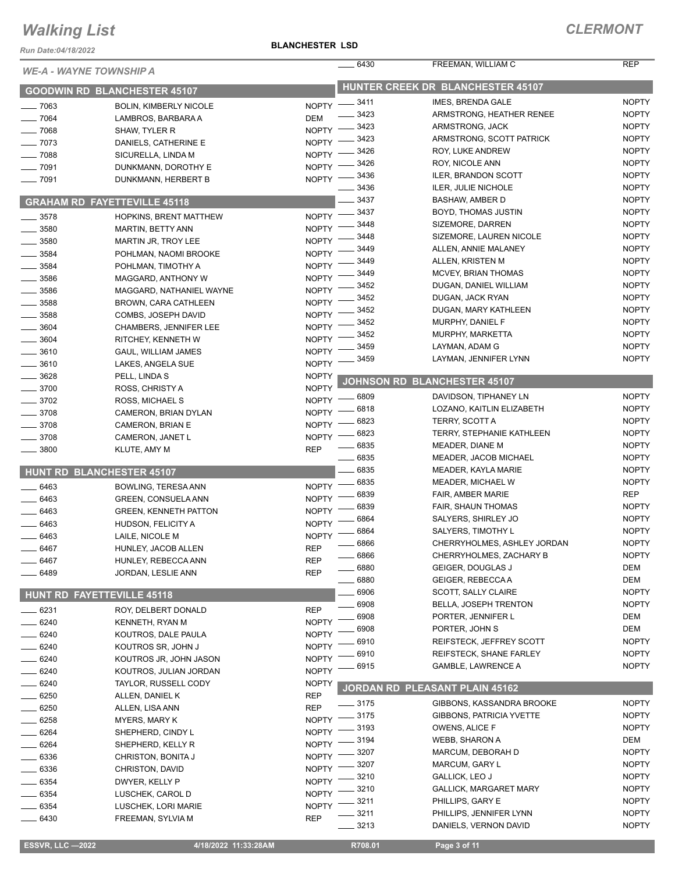*Run Date:04/18/2022*

#### **BLANCHESTER LSD**

| <b>WE-A - WAYNE TOWNSHIP A</b>      |                                                     |              | 6430        | FREEMAN, WILLIAM C                | <b>REP</b>   |
|-------------------------------------|-----------------------------------------------------|--------------|-------------|-----------------------------------|--------------|
|                                     | <b>GOODWIN RD BLANCHESTER 45107</b>                 |              |             | HUNTER CREEK DR BLANCHESTER 45107 |              |
| $-7063$                             |                                                     |              | NOPTY -8411 | IMES, BRENDA GALE                 | <b>NOPTY</b> |
| 7064                                | <b>BOLIN, KIMBERLY NICOLE</b><br>LAMBROS, BARBARA A | <b>DEM</b>   | 3423        | ARMSTRONG, HEATHER RENEE          | <b>NOPTY</b> |
| $-7068$                             | SHAW, TYLER R                                       | <b>NOPTY</b> | 3423        | ARMSTRONG, JACK                   | <b>NOPTY</b> |
| 7073                                | DANIELS, CATHERINE E                                | <b>NOPTY</b> | 3423        | ARMSTRONG, SCOTT PATRICK          | <b>NOPTY</b> |
| $- 7088$                            | SICURELLA, LINDA M                                  | <b>NOPTY</b> | 3426        | ROY, LUKE ANDREW                  | <b>NOPTY</b> |
| $-7091$                             | DUNKMANN, DOROTHY E                                 | <b>NOPTY</b> | 3426        | <b>ROY, NICOLE ANN</b>            | <b>NOPTY</b> |
| 7091                                | DUNKMANN, HERBERT B                                 | <b>NOPTY</b> | 3436        | <b>ILER, BRANDON SCOTT</b>        | <b>NOPTY</b> |
|                                     |                                                     |              | 3436        | ILER, JULIE NICHOLE               | <b>NOPTY</b> |
| <b>GRAHAM RD FAYETTEVILLE 45118</b> |                                                     |              | 3437        | <b>BASHAW, AMBER D</b>            | <b>NOPTY</b> |
| 3578                                | HOPKINS, BRENT MATTHEW                              | <b>NOPTY</b> | 3437        | BOYD, THOMAS JUSTIN               | <b>NOPTY</b> |
| $-3580$                             | MARTIN, BETTY ANN                                   | <b>NOPTY</b> | 3448        | SIZEMORE, DARREN                  | <b>NOPTY</b> |
| 3580                                | MARTIN JR, TROY LEE                                 | <b>NOPTY</b> | 3448        | SIZEMORE, LAUREN NICOLE           | <b>NOPTY</b> |
| 3584                                | POHLMAN, NAOMI BROOKE                               | <b>NOPTY</b> | 3449        | ALLEN, ANNIE MALANEY              | <b>NOPTY</b> |
| 3584                                | POHLMAN, TIMOTHY A                                  | <b>NOPTY</b> | 3449        | ALLEN, KRISTEN M                  | <b>NOPTY</b> |
| 3586                                | MAGGARD, ANTHONY W                                  | <b>NOPTY</b> | 3449        | MCVEY, BRIAN THOMAS               | <b>NOPTY</b> |
| 3586                                | MAGGARD, NATHANIEL WAYNE                            | <b>NOPTY</b> | 3452        | DUGAN, DANIEL WILLIAM             | <b>NOPTY</b> |
| 3588                                | <b>BROWN, CARA CATHLEEN</b>                         | <b>NOPTY</b> | 3452        | DUGAN, JACK RYAN                  | <b>NOPTY</b> |
| 3588                                | COMBS, JOSEPH DAVID                                 | <b>NOPTY</b> | 3452        | DUGAN, MARY KATHLEEN              | <b>NOPTY</b> |
| 3604                                | CHAMBERS, JENNIFER LEE                              | <b>NOPTY</b> | 3452        | MURPHY, DANIEL F                  | <b>NOPTY</b> |
| 3604                                | RITCHEY, KENNETH W                                  | <b>NOPTY</b> | 3452        | MURPHY, MARKETTA                  | <b>NOPTY</b> |
| $-3610$                             | <b>GAUL, WILLIAM JAMES</b>                          | <b>NOPTY</b> | 3459        | LAYMAN, ADAM G                    | <b>NOPTY</b> |
| 3610                                | LAKES, ANGELA SUE                                   | <b>NOPTY</b> | 3459        | LAYMAN, JENNIFER LYNN             | <b>NOPTY</b> |
| 3628                                | PELL, LINDA S                                       | <b>NOPTY</b> |             |                                   |              |
| 3700                                | ROSS, CHRISTY A                                     | <b>NOPTY</b> |             | JOHNSON RD BLANCHESTER 45107      |              |
| 3702                                | ROSS, MICHAEL S                                     | <b>NOPTY</b> | 6809        | DAVIDSON, TIPHANEY LN             | <b>NOPTY</b> |
| 3708                                | CAMERON, BRIAN DYLAN                                | <b>NOPTY</b> | 6818        | LOZANO, KAITLIN ELIZABETH         | <b>NOPTY</b> |
| 3708                                | CAMERON, BRIAN E                                    | <b>NOPTY</b> | 6823        | <b>TERRY, SCOTT A</b>             | <b>NOPTY</b> |
| 3708                                | CAMERON, JANET L                                    | <b>NOPTY</b> | 6823        | <b>TERRY, STEPHANIE KATHLEEN</b>  | <b>NOPTY</b> |
| 3800                                | KLUTE, AMY M                                        | <b>REP</b>   | 6835        | MEADER, DIANE M                   | <b>NOPTY</b> |
|                                     |                                                     |              | 6835        | MEADER, JACOB MICHAEL             | <b>NOPTY</b> |
| <b>HUNT RD BLANCHESTER 45107</b>    |                                                     |              | 6835        | MEADER, KAYLA MARIE               | <b>NOPTY</b> |
| 6463                                | BOWLING, TERESA ANN                                 | <b>NOPTY</b> | 6835        | MEADER, MICHAEL W                 | <b>NOPTY</b> |
| 6463                                | <b>GREEN, CONSUELA ANN</b>                          | <b>NOPTY</b> | 6839        | FAIR, AMBER MARIE                 | REP          |
|                                     | <b>GREEN, KENNETH PATTON</b>                        | <b>NOPTY</b> | 6839        | FAIR, SHAUN THOMAS                | <b>NOPTY</b> |
| 6463<br>6463                        |                                                     | <b>NOPTY</b> | 6864        | SALYERS, SHIRLEY JO               | <b>NOPTY</b> |
| 6463                                | HUDSON, FELICITY A                                  | <b>NOPTY</b> | 6864        | SALYERS, TIMOTHY L                | <b>NOPTY</b> |
|                                     | LAILE, NICOLE M<br>HUNLEY, JACOB ALLEN              | <b>REP</b>   | 6866        | CHERRYHOLMES, ASHLEY JORDAN       | <b>NOPTY</b> |
| 6467                                |                                                     |              | $-6866$     | CHERRYHOLMES, ZACHARY B           | <b>NOPTY</b> |
| 6467                                | HUNLEY, REBECCA ANN                                 | <b>REP</b>   | 6880        | GEIGER, DOUGLAS J                 | DEM          |
| 6489                                | JORDAN, LESLIE ANN                                  | <b>REP</b>   | 6880        | GEIGER, REBECCA A                 | DEM          |
| HUNT RD FAYETTEVILLE 45118          |                                                     |              | 6906        | <b>SCOTT, SALLY CLAIRE</b>        | <b>NOPTY</b> |
|                                     |                                                     |              | 6908        | <b>BELLA, JOSEPH TRENTON</b>      | <b>NOPTY</b> |
| 6231                                | ROY, DELBERT DONALD                                 | <b>REP</b>   | 6908        | PORTER, JENNIFER L                | DEM          |
| 6240                                | KENNETH, RYAN M                                     | <b>NOPTY</b> | 6908        | PORTER, JOHN S                    | DEM          |
| $=6240$                             | KOUTROS, DALE PAULA                                 | <b>NOPTY</b> | 6910        | <b>REIFSTECK, JEFFREY SCOTT</b>   | <b>NOPTY</b> |
| 6240                                | KOUTROS SR, JOHN J                                  | <b>NOPTY</b> | 6910        | REIFSTECK, SHANE FARLEY           | <b>NOPTY</b> |
| 6240                                | KOUTROS JR, JOHN JASON                              | <b>NOPTY</b> | 6915        | <b>GAMBLE, LAWRENCE A</b>         | <b>NOPTY</b> |
| 6240                                | KOUTROS, JULIAN JORDAN                              | <b>NOPTY</b> |             |                                   |              |
| 6240                                | TAYLOR, RUSSELL CODY                                | <b>NOPTY</b> |             | JORDAN RD PLEASANT PLAIN 45162    |              |
| 6250                                | ALLEN, DANIEL K                                     | <b>REP</b>   | _ 3175      | GIBBONS, KASSANDRA BROOKE         | <b>NOPTY</b> |
| 6250                                | ALLEN, LISA ANN                                     | <b>REP</b>   | 3175        | <b>GIBBONS, PATRICIA YVETTE</b>   | <b>NOPTY</b> |
| 6258                                | MYERS, MARY K                                       | <b>NOPTY</b> | 3193        | OWENS, ALICE F                    | <b>NOPTY</b> |
| 6264                                | SHEPHERD, CINDY L                                   | <b>NOPTY</b> | 3194        | WEBB, SHARON A                    | DEM          |
| 6264                                | SHEPHERD, KELLY R                                   | <b>NOPTY</b> | 3207        | MARCUM, DEBORAH D                 | <b>NOPTY</b> |
| 6336                                | CHRISTON, BONITA J                                  | <b>NOPTY</b> | 3207        | MARCUM, GARY L                    | <b>NOPTY</b> |
| 6336                                | CHRISTON, DAVID                                     | <b>NOPTY</b> | 3210        | GALLICK, LEO J                    | <b>NOPTY</b> |
| 6354                                | DWYER, KELLY P                                      | <b>NOPTY</b> | 3210        | <b>GALLICK, MARGARET MARY</b>     | <b>NOPTY</b> |
| 6354                                | LUSCHEK, CAROL D                                    | <b>NOPTY</b> | 3211        | PHILLIPS, GARY E                  | <b>NOPTY</b> |
| 6354                                | LUSCHEK, LORI MARIE                                 | <b>NOPTY</b> | 3211        | PHILLIPS, JENNIFER LYNN           | <b>NOPTY</b> |
| 6430                                | FREEMAN, SYLVIA M                                   | <b>REP</b>   | $-3213$     | DANIELS, VERNON DAVID             | <b>NOPTY</b> |
|                                     |                                                     |              |             |                                   |              |
| <b>ESSVR, LLC -2022</b>             | 4/18/2022 11:33:28AM                                |              | R708.01     | Page 3 of 11                      |              |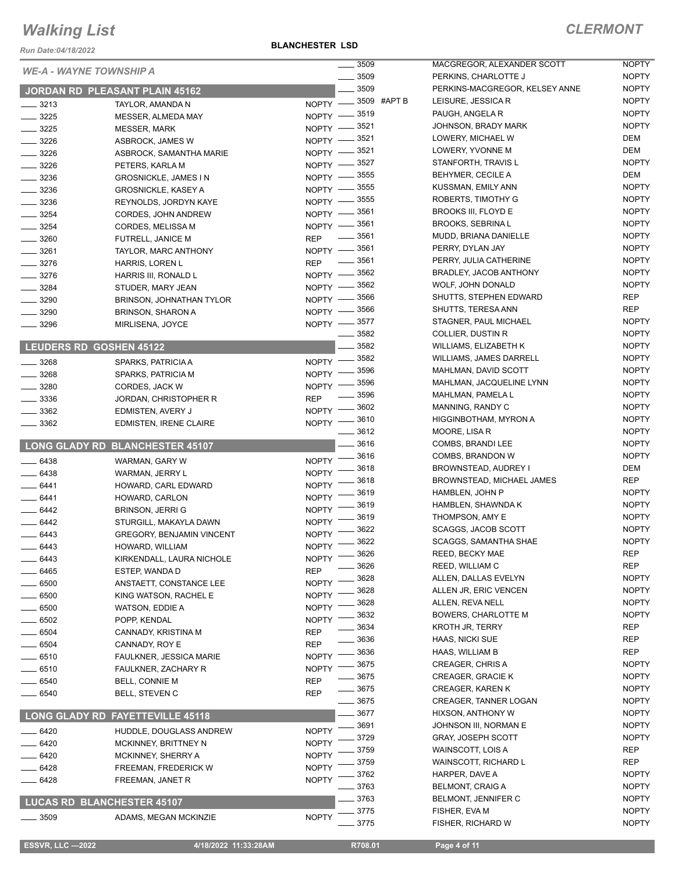*Run Date:04/18/2022*

**BLANCHESTER LSD**

|                      |                                           | $\frac{1}{2}$ 3509                                     | MACGREGOR, ALEXANDER SCOTT                   | <b>NOPTY</b>                 |
|----------------------|-------------------------------------------|--------------------------------------------------------|----------------------------------------------|------------------------------|
|                      | <b>WE-A - WAYNE TOWNSHIP A</b>            | $\frac{1}{2}$ 3509                                     | PERKINS, CHARLOTTE J                         | <b>NOPTY</b>                 |
|                      | JORDAN RD PLEASANT PLAIN 45162            | 3509                                                   | PERKINS-MACGREGOR, KELSEY ANNE               | <b>NOPTY</b>                 |
| $\frac{1}{2}$ 3213   | TAYLOR, AMANDA N                          | NOPTY -8509 #APT B                                     | LEISURE, JESSICA R                           | <b>NOPTY</b>                 |
| $- 3225$             | <b>MESSER, ALMEDA MAY</b>                 | NOPTY -8519                                            | PAUGH, ANGELA R                              | <b>NOPTY</b>                 |
| $- 3225$             | <b>MESSER, MARK</b>                       | NOPTY -8521                                            | JOHNSON, BRADY MARK                          | <b>NOPTY</b>                 |
| $\frac{3226}{5}$     | ASBROCK, JAMES W                          | NOPTY -8521                                            | LOWERY, MICHAEL W                            | DEM                          |
| $- 3226$             | ASBROCK, SAMANTHA MARIE                   | 3521<br>$NOPTY -$                                      | LOWERY, YVONNE M                             | DEM                          |
| $-3226$              | PETERS, KARLA M                           | NOPTY -8527                                            | STANFORTH, TRAVIS L                          | <b>NOPTY</b>                 |
| $\frac{1}{2}$ 3236   | <b>GROSNICKLE, JAMES IN</b>               | NOPTY -8555                                            | BEHYMER, CECILE A                            | DEM                          |
| $\frac{1}{2}$ 3236   | <b>GROSNICKLE, KASEY A</b>                | NOPTY -8555                                            | KUSSMAN, EMILY ANN                           | <b>NOPTY</b>                 |
| $\frac{1}{2}$ 3236   | REYNOLDS, JORDYN KAYE                     | NOPTY -8555                                            | ROBERTS, TIMOTHY G                           | <b>NOPTY</b>                 |
| $\frac{1}{2}$ 3254   | CORDES, JOHN ANDREW                       | NOPTY -8561                                            | BROOKS III, FLOYD E                          | <b>NOPTY</b>                 |
| $\frac{1}{2}$ 3254   | <b>CORDES, MELISSA M</b>                  | NOPTY -8561                                            | <b>BROOKS, SEBRINAL</b>                      | <b>NOPTY</b>                 |
| $\frac{1}{2}$ 3260   | FUTRELL, JANICE M                         | 3561<br>$\overline{\phantom{a}}$<br><b>REP</b>         | MUDD, BRIANA DANIELLE                        | <b>NOPTY</b>                 |
| $\frac{1}{2}$ 3261   | TAYLOR, MARC ANTHONY                      | NOPTY -8561                                            | PERRY, DYLAN JAY                             | <b>NOPTY</b>                 |
| $\frac{1}{2}$ 3276   | HARRIS, LOREN L                           | 3561<br>$\overline{\phantom{a}}$<br><b>REP</b><br>3562 | PERRY, JULIA CATHERINE                       | <b>NOPTY</b><br><b>NOPTY</b> |
| $- 3276$             | HARRIS III, RONALD L                      | $N$ OPTY $\qquad$                                      | BRADLEY, JACOB ANTHONY                       |                              |
| $- 3284$             | STUDER, MARY JEAN                         | NOPTY -8562                                            | WOLF, JOHN DONALD                            | <b>NOPTY</b>                 |
| $\frac{1}{2}$ 3290   | BRINSON, JOHNATHAN TYLOR                  | 3566<br>$NOPTY$ -<br>3566                              | SHUTTS, STEPHEN EDWARD<br>SHUTTS, TERESA ANN | <b>REP</b><br><b>REP</b>     |
| $\frac{1}{2}$ 3290   | <b>BRINSON, SHARON A</b>                  | $NOPTY$ –<br>3577                                      | STAGNER, PAUL MICHAEL                        | <b>NOPTY</b>                 |
| $- 3296$             | MIRLISENA, JOYCE                          | $NOPTY$ -<br>3582                                      | COLLIER, DUSTIN R                            | <b>NOPTY</b>                 |
|                      | <b>LEUDERS RD GOSHEN 45122</b>            | 3582                                                   | WILLIAMS, ELIZABETH K                        | <b>NOPTY</b>                 |
|                      |                                           | 3582                                                   | <b>WILLIAMS, JAMES DARRELL</b>               | <b>NOPTY</b>                 |
| $- 3268$             | SPARKS, PATRICIA A                        | $NOPTY$ ––<br>_ 3596                                   | MAHLMAN, DAVID SCOTT                         | <b>NOPTY</b>                 |
| $\frac{1}{2}$ 3268   | SPARKS, PATRICIA M                        | NOPTY -<br>3596                                        | MAHLMAN, JACQUELINE LYNN                     | <b>NOPTY</b>                 |
| $\frac{1}{2}$ 3280   | CORDES, JACK W                            | <b>NOPTY</b><br>3596                                   | MAHLMAN, PAMELA L                            | <b>NOPTY</b>                 |
| $\frac{1}{2}$ 3336   | JORDAN, CHRISTOPHER R                     | <b>REP</b>                                             | MANNING, RANDY C                             | <b>NOPTY</b>                 |
| $\frac{1}{2}$ 3362   | EDMISTEN, AVERY J                         | NOPTY -8602<br>NOPTY -8610                             | HIGGINBOTHAM, MYRON A                        | <b>NOPTY</b>                 |
| $\frac{1}{2}$ 3362   | <b>EDMISTEN, IRENE CLAIRE</b>             | $- 3612$                                               | MOORE, LISA R                                | <b>NOPTY</b>                 |
|                      | <b>LONG GLADY RD BLANCHESTER 45107</b>    | $-3616$                                                | COMBS, BRANDI LEE                            | <b>NOPTY</b>                 |
|                      |                                           | 3616                                                   | COMBS, BRANDON W                             | <b>NOPTY</b>                 |
| $\frac{1}{2}$ 6438   | WARMAN, GARY W                            | NOPTY <sup>-</sup><br>3618                             | BROWNSTEAD, AUDREY I                         | DEM                          |
| $- 6438$             | WARMAN, JERRY L                           | <b>NOPTY</b><br>3618                                   | <b>BROWNSTEAD, MICHAEL JAMES</b>             | <b>REP</b>                   |
| $-6441$              | HOWARD, CARL EDWARD                       | <b>NOPTY</b><br>3619                                   | HAMBLEN, JOHN P                              | <b>NOPTY</b>                 |
| $-6441$              | HOWARD, CARLON                            | $NOPTY$ -<br>3619                                      | HAMBLEN, SHAWNDA K                           | <b>NOPTY</b>                 |
| $-6442$              | <b>BRINSON, JERRI G</b>                   | $NOPTY$ ––<br>3619                                     | THOMPSON, AMY E                              | <b>NOPTY</b>                 |
| $-6442$              | STURGILL, MAKAYLA DAWN                    | $N$ OPTY $-$<br>3622                                   | <b>SCAGGS, JACOB SCOTT</b>                   | <b>NOPTY</b>                 |
| $-6443$              | <b>GREGORY, BENJAMIN VINCENT</b>          | $N$ OPTY $-$<br>3622<br>$N$ OPTY $-$                   | <b>SCAGGS. SAMANTHA SHAE</b>                 | <b>NOPTY</b>                 |
| 6443                 | HOWARD, WILLIAM                           | NOPTY -8626                                            | REED, BECKY MAE                              | <b>REP</b>                   |
| $-6443$              | KIRKENDALL, LAURA NICHOLE                 | 3626                                                   | REED, WILLIAM C                              | <b>REP</b>                   |
| $-6465$              | ESTEP, WANDA D                            | <b>REP</b><br>3628                                     | ALLEN, DALLAS EVELYN                         | <b>NOPTY</b>                 |
| 6500                 | ANSTAETT, CONSTANCE LEE                   | <b>NOPTY</b><br>3628                                   | ALLEN JR, ERIC VENCEN                        | <b>NOPTY</b>                 |
| - 6500               | KING WATSON, RACHEL E                     | <b>NOPTY</b><br>3628                                   | ALLEN, REVA NELL                             | <b>NOPTY</b>                 |
| $-6500$              | WATSON, EDDIE A                           | <b>NOPTY</b><br>3632<br><b>NOPTY</b>                   | <b>BOWERS, CHARLOTTE M</b>                   | <b>NOPTY</b>                 |
| _ 6502               | POPP, KENDAL                              | 3634<br><b>REP</b>                                     | <b>KROTH JR, TERRY</b>                       | <b>REP</b>                   |
| $- 6504$<br>$-6504$  | CANNADY, KRISTINA M                       | 3636<br><b>REP</b>                                     | HAAS, NICKI SUE                              | <b>REP</b>                   |
| ___ 6510             | CANNADY, ROY E<br>FAULKNER, JESSICA MARIE | 3636<br><b>NOPTY</b>                                   | HAAS, WILLIAM B                              | <b>REP</b>                   |
| _ 6510               | FAULKNER, ZACHARY R                       | 3675<br><b>NOPTY</b>                                   | <b>CREAGER, CHRIS A</b>                      | <b>NOPTY</b>                 |
| __ 6540              | <b>BELL, CONNIE M</b>                     | 3675<br><b>REP</b>                                     | <b>CREAGER, GRACIE K</b>                     | <b>NOPTY</b>                 |
| $-6540$              | <b>BELL, STEVEN C</b>                     | 3675<br><b>REP</b>                                     | <b>CREAGER, KAREN K</b>                      | <b>NOPTY</b>                 |
|                      |                                           | 3675                                                   | CREAGER, TANNER LOGAN                        | <b>NOPTY</b>                 |
| <b>LONG GLADY RD</b> | <b>FAYETTEVILLE 45118</b>                 | $-3677$                                                | HIXSON, ANTHONY W                            | <b>NOPTY</b>                 |
|                      |                                           | 3691<br><b>NOPTY</b>                                   | JOHNSON III, NORMAN E                        | <b>NOPTY</b>                 |
| $-6420$              | HUDDLE, DOUGLASS ANDREW                   | 3729<br><b>NOPTY</b>                                   | <b>GRAY, JOSEPH SCOTT</b>                    | <b>NOPTY</b>                 |
| $-6420$              | MCKINNEY, BRITTNEY N                      | 3759                                                   | WAINSCOTT, LOIS A                            | <b>REP</b>                   |
| - 6420               | <b>MCKINNEY, SHERRY A</b>                 | <b>NOPTY</b><br>3759<br><b>NOPTY</b>                   | WAINSCOTT, RICHARD L                         | REP                          |
| 6428<br>6428         | FREEMAN, FREDERICK W                      | 3762<br><b>NOPTY</b>                                   | HARPER, DAVE A                               | <b>NOPTY</b>                 |
|                      | FREEMAN, JANET R                          | 3763                                                   | <b>BELMONT, CRAIG A</b>                      | <b>NOPTY</b>                 |
|                      | <b>LUCAS RD BLANCHESTER 45107</b>         | _ 3763                                                 | BELMONT, JENNIFER C                          | <b>NOPTY</b>                 |
|                      |                                           | 3775                                                   | FISHER, EVA M                                | <b>NOPTY</b>                 |
| $- 3509$             | ADAMS, MEGAN MCKINZIE                     | <b>NOPTY</b><br>3775                                   | FISHER, RICHARD W                            | <b>NOPTY</b>                 |

**ESSVR, LLC -2022 4/18/2022 11:33:28AM** R708.01 **Page 4 of 11**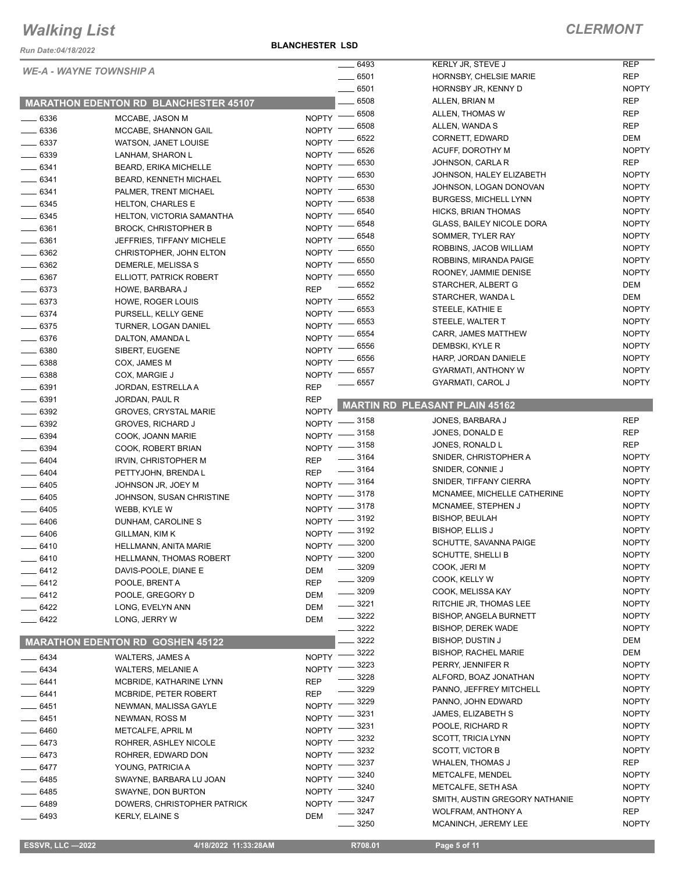*Run Date:04/18/2022*

**BLANCHESTER LSD**

|               |                                              | 6493                             | KERLY JR, STEVE J                     | <b>REP</b>   |
|---------------|----------------------------------------------|----------------------------------|---------------------------------------|--------------|
|               | <b>WE-A - WAYNE TOWNSHIP A</b>               | $-6501$                          | HORNSBY, CHELSIE MARIE                | <b>REP</b>   |
|               |                                              | 6501                             | HORNSBY JR, KENNY D                   | <b>NOPTY</b> |
|               |                                              | 6508                             | ALLEN, BRIAN M                        | <b>REP</b>   |
|               | <b>MARATHON EDENTON RD BLANCHESTER 45107</b> | 6508                             | ALLEN, THOMAS W                       | <b>REP</b>   |
| $- 6336$      | MCCABE, JASON M                              | <b>NOPTY</b><br>6508             |                                       | <b>REP</b>   |
| $- 6336$      | MCCABE, SHANNON GAIL                         | <b>NOPTY</b>                     | ALLEN, WANDA S                        |              |
| $- 6337$      | WATSON, JANET LOUISE                         | 6522<br><b>NOPTY</b>             | CORNETT, EDWARD                       | <b>DEM</b>   |
| $- 6339$      | LANHAM, SHARON L                             | 6526<br><b>NOPTY</b>             | ACUFF, DOROTHY M                      | <b>NOPTY</b> |
| $-6341$       | <b>BEARD, ERIKA MICHELLE</b>                 | 6530<br><b>NOPTY</b>             | JOHNSON, CARLA R                      | <b>REP</b>   |
| $- 6341$      | BEARD, KENNETH MICHAEL                       | 6530<br><b>NOPTY</b>             | JOHNSON, HALEY ELIZABETH              | <b>NOPTY</b> |
| $- 6341$      | PALMER, TRENT MICHAEL                        | 6530<br><b>NOPTY</b>             | JOHNSON, LOGAN DONOVAN                | <b>NOPTY</b> |
| _____ 6345    | <b>HELTON, CHARLES E</b>                     | 6538<br><b>NOPTY</b>             | <b>BURGESS, MICHELL LYNN</b>          | <b>NOPTY</b> |
| $-6345$       | HELTON, VICTORIA SAMANTHA                    | 6540<br><b>NOPTY</b>             | HICKS, BRIAN THOMAS                   | <b>NOPTY</b> |
| $- 6361$      | <b>BROCK, CHRISTOPHER B</b>                  | 6548<br><b>NOPTY</b>             | <b>GLASS, BAILEY NICOLE DORA</b>      | <b>NOPTY</b> |
| $- 6361$      |                                              | 6548<br><b>NOPTY</b>             | SOMMER, TYLER RAY                     | <b>NOPTY</b> |
|               | JEFFRIES, TIFFANY MICHELE                    | 6550                             | ROBBINS, JACOB WILLIAM                | <b>NOPTY</b> |
| $- 6362$      | CHRISTOPHER, JOHN ELTON                      | <b>NOPTY</b><br>6550             | ROBBINS, MIRANDA PAIGE                | <b>NOPTY</b> |
| $- 6362$      | DEMERLE, MELISSA S                           | <b>NOPTY</b><br>6550             | ROONEY, JAMMIE DENISE                 | <b>NOPTY</b> |
| $- 6367$      | ELLIOTT, PATRICK ROBERT                      | <b>NOPTY</b><br>6552             | STARCHER, ALBERT G                    | <b>DEM</b>   |
| $-6373$       | HOWE, BARBARA J                              | <b>REP</b><br>6552               | STARCHER, WANDA L                     | <b>DEM</b>   |
| $- 6373$      | HOWE, ROGER LOUIS                            | <b>NOPTY</b><br>6553             |                                       | <b>NOPTY</b> |
| $-6374$       | PURSELL, KELLY GENE                          | <b>NOPTY</b>                     | STEELE, KATHIE E                      |              |
| $- 6375$      | TURNER, LOGAN DANIEL                         | 6553<br><b>NOPTY</b>             | STEELE, WALTER T                      | <b>NOPTY</b> |
| $- 6376$      | DALTON, AMANDA L                             | 6554<br><b>NOPTY</b>             | CARR, JAMES MATTHEW                   | <b>NOPTY</b> |
| $\equiv$ 6380 | SIBERT, EUGENE                               | 6556<br><b>NOPTY</b>             | DEMBSKI, KYLE R                       | <b>NOPTY</b> |
| $- 6388$      | COX, JAMES M                                 | 6556<br><b>NOPTY</b>             | HARP, JORDAN DANIELE                  | <b>NOPTY</b> |
| 6388          | COX, MARGIE J                                | 6557<br><b>NOPTY</b>             | GYARMATI, ANTHONY W                   | <b>NOPTY</b> |
| $\equiv$ 6391 | JORDAN, ESTRELLA A                           | 6557<br><b>REP</b>               | GYARMATI, CAROL J                     | <b>NOPTY</b> |
| $- 6391$      | JORDAN, PAUL R                               | <b>REP</b>                       |                                       |              |
| $-6392$       |                                              | <b>NOPTY</b>                     | <b>MARTIN RD PLEASANT PLAIN 45162</b> |              |
|               | <b>GROVES, CRYSTAL MARIE</b>                 | - 3158<br><b>NOPTY</b>           | JONES, BARBARA J                      | <b>REP</b>   |
| $- 6392$      | <b>GROVES, RICHARD J</b>                     | 3158<br><b>NOPTY</b>             | JONES, DONALD E                       | <b>REP</b>   |
| $- 6394$      | COOK, JOANN MARIE                            | .3158                            | JONES, RONALD L                       | <b>REP</b>   |
| $- 6394$      | COOK, ROBERT BRIAN                           | NOPTY -<br>3164                  | SNIDER, CHRISTOPHER A                 | <b>NOPTY</b> |
| $- 6404$      | IRVIN, CHRISTOPHER M                         | <b>REP</b><br>$\frac{1}{2}$ 3164 | SNIDER, CONNIE J                      | <b>NOPTY</b> |
| $-6404$       | PETTYJOHN, BRENDA L                          | <b>REP</b>                       |                                       |              |
| $- 6405$      | JOHNSON JR, JOEY M                           | NOPTY -8164                      | SNIDER, TIFFANY CIERRA                | <b>NOPTY</b> |
| $- 6405$      | JOHNSON, SUSAN CHRISTINE                     | NOPTY -8178                      | MCNAMEE, MICHELLE CATHERINE           | <b>NOPTY</b> |
| $- 6405$      | WEBB, KYLE W                                 | _ 3178<br>$NOPTY$ -              | MCNAMEE, STEPHEN J                    | <b>NOPTY</b> |
| 6406          | DUNHAM, CAROLINE S                           | NOPTY -8192                      | <b>BISHOP, BEULAH</b>                 | <b>NOPTY</b> |
| 6406          | GILLMAN, KIM K                               | $-3192$<br>$N$ OPTY $-$          | <b>BISHOP, ELLIS J</b>                | <b>NOPTY</b> |
| 6410          | HELLMANN, ANITA MARIE                        | - 3200<br>$NOPTY$ –              | SCHUTTE, SAVANNA PAIGE                | <b>NOPTY</b> |
| 6410          | HELLMANN, THOMAS ROBERT                      | 3200<br>$N$ OPTY $-$             | <b>SCHUTTE, SHELLI B</b>              | <b>NOPTY</b> |
| $-6412$       | DAVIS-POOLE, DIANE E                         | 3209<br>DEM                      | COOK, JERI M                          | <b>NOPTY</b> |
| _ 6412        | POOLE, BRENT A                               | 3209<br><b>REP</b>               | COOK, KELLY W                         | <b>NOPTY</b> |
| 6412          | POOLE, GREGORY D                             | 3209<br>DEM                      | COOK, MELISSA KAY                     | <b>NOPTY</b> |
|               | LONG, EVELYN ANN                             | _ 3221                           | RITCHIE JR, THOMAS LEE                | <b>NOPTY</b> |
| $-6422$       |                                              | DEM<br>$-3222$                   | <b>BISHOP, ANGELA BURNETT</b>         | <b>NOPTY</b> |
| 6422          | LONG, JERRY W                                | <b>DEM</b><br>3222               | <b>BISHOP, DEREK WADE</b>             | <b>NOPTY</b> |
|               |                                              | 3222                             | <b>BISHOP, DUSTIN J</b>               | DEM          |
|               | <b>MARATHON EDENTON RD GOSHEN 45122</b>      | 3222                             | <b>BISHOP, RACHEL MARIE</b>           | <b>DEM</b>   |
| $-6434$       | WALTERS, JAMES A                             | <b>NOPTY</b>                     |                                       |              |
| $-6434$       | <b>WALTERS, MELANIE A</b>                    | 3223<br><b>NOPTY</b>             | PERRY, JENNIFER R                     | <b>NOPTY</b> |
| $-6441$       | MCBRIDE, KATHARINE LYNN                      | 3228<br><b>REP</b>               | ALFORD, BOAZ JONATHAN                 | <b>NOPTY</b> |
| $-6441$       | MCBRIDE, PETER ROBERT                        | 3229<br><b>REP</b>               | PANNO, JEFFREY MITCHELL               | <b>NOPTY</b> |
| _ 6451        | NEWMAN, MALISSA GAYLE                        | 3229<br><b>NOPTY</b>             | PANNO, JOHN EDWARD                    | <b>NOPTY</b> |
| 6451          | NEWMAN, ROSS M                               | 3231<br><b>NOPTY</b>             | JAMES, ELIZABETH S                    | <b>NOPTY</b> |
| 6460          | METCALFE, APRIL M                            | 3231<br><b>NOPTY</b>             | POOLE, RICHARD R                      | <b>NOPTY</b> |
| $-6473$       | ROHRER, ASHLEY NICOLE                        | 3232<br><b>NOPTY</b>             | SCOTT, TRICIA LYNN                    | <b>NOPTY</b> |
|               |                                              | 3232<br><b>NOPTY</b>             | <b>SCOTT, VICTOR B</b>                | <b>NOPTY</b> |
| $-6473$       | ROHRER, EDWARD DON                           | 3237                             | <b>WHALEN, THOMAS J</b>               | REP          |
| - 6477        | YOUNG, PATRICIA A                            | <b>NOPTY</b><br>3240             | METCALFE, MENDEL                      | <b>NOPTY</b> |
| 6485          | SWAYNE, BARBARA LU JOAN                      | <b>NOPTY</b><br>3240             | METCALFE, SETH ASA                    | <b>NOPTY</b> |
| 6485          | SWAYNE, DON BURTON                           | <b>NOPTY</b><br>3247             | SMITH, AUSTIN GREGORY NATHANIE        | <b>NOPTY</b> |
| - 6489        | DOWERS, CHRISTOPHER PATRICK                  | <b>NOPTY</b><br>3247             | WOLFRAM, ANTHONY A                    | <b>REP</b>   |
| - 6493        | KERLY, ELAINE S                              | DEM<br>3250                      | MCANINCH, JEREMY LEE                  | <b>NOPTY</b> |
|               |                                              |                                  |                                       |              |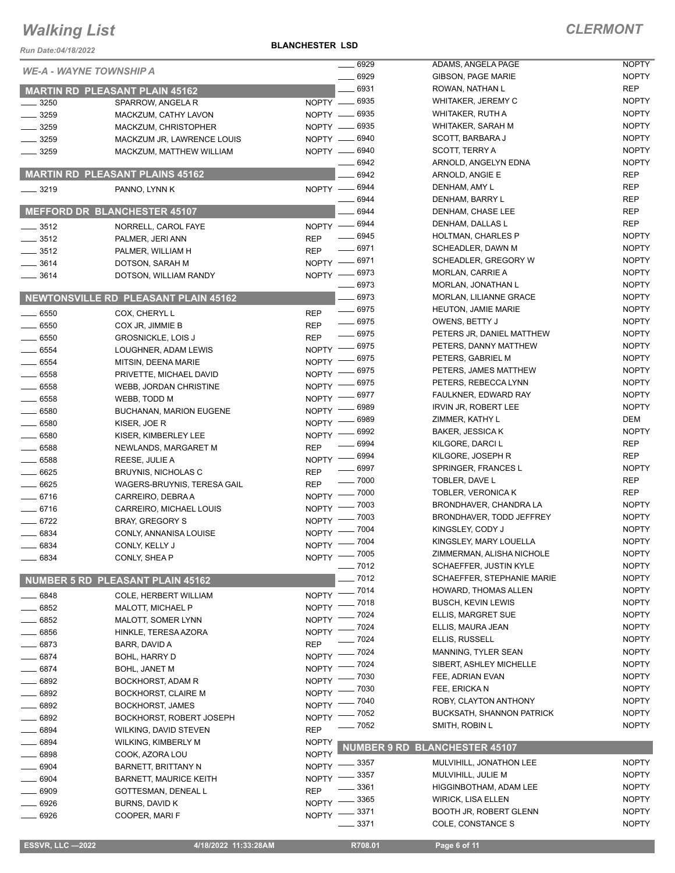*Run Date:04/18/2022*

**BLANCHESTER LSD**

|                                |                                        |              | 6929<br>$\overline{\phantom{a}}$ | ADAMS, ANGELA PAGE                   | <b>NOPTY</b> |
|--------------------------------|----------------------------------------|--------------|----------------------------------|--------------------------------------|--------------|
| <b>WE-A - WAYNE TOWNSHIP A</b> |                                        |              | 6929                             | GIBSON, PAGE MARIE                   | <b>NOPTY</b> |
|                                | <b>MARTIN RD PLEASANT PLAIN 45162</b>  |              | 6931                             | ROWAN, NATHAN L                      | <b>REP</b>   |
| $- 3250$                       | SPARROW, ANGELA R                      |              | NOPTY - 6935                     | WHITAKER, JEREMY C                   | <b>NOPTY</b> |
| $-3259$                        | MACKZUM, CATHY LAVON                   |              | NOPTY -6935                      | WHITAKER, RUTH A                     | <b>NOPTY</b> |
| $- 3259$                       | MACKZUM, CHRISTOPHER                   |              | NOPTY - 6935                     | WHITAKER, SARAH M                    | <b>NOPTY</b> |
| $-3259$                        | MACKZUM JR, LAWRENCE LOUIS             |              | NOPTY -6940                      | SCOTT, BARBARA J                     | <b>NOPTY</b> |
| $-3259$                        | MACKZUM, MATTHEW WILLIAM               |              | NOPTY - 6940                     | SCOTT, TERRY A                       | <b>NOPTY</b> |
|                                |                                        |              | 6942                             | ARNOLD, ANGELYN EDNA                 | <b>NOPTY</b> |
|                                | <b>MARTIN RD PLEASANT PLAINS 45162</b> |              | 6942                             | ARNOLD, ANGIE E                      | <b>REP</b>   |
| $- 3219$                       | PANNO, LYNN K                          |              | NOPTY - 6944                     | DENHAM, AMY L                        | <b>REP</b>   |
|                                |                                        |              | 6944                             | DENHAM, BARRY L                      | <b>REP</b>   |
|                                | <b>MEFFORD DR BLANCHESTER 45107</b>    |              | 6944                             | DENHAM, CHASE LEE                    | <b>REP</b>   |
| $\frac{1}{2}$ 3512             | NORRELL, CAROL FAYE                    |              | NOPTY -8944                      | DENHAM, DALLAS L                     | <b>REP</b>   |
| $- 3512$                       | PALMER, JERI ANN                       | <b>REP</b>   | 6945                             | <b>HOLTMAN, CHARLES P</b>            | <b>NOPTY</b> |
| $- 3512$                       | PALMER, WILLIAM H                      | <b>REP</b>   | $-6971$                          | SCHEADLER, DAWN M                    | <b>NOPTY</b> |
| $- 3614$                       | DOTSON, SARAH M                        |              | NOPTY -8971                      | SCHEADLER, GREGORY W                 | <b>NOPTY</b> |
| $\frac{1}{2}$ 3614             | DOTSON, WILLIAM RANDY                  |              | NOPTY -8973                      | <b>MORLAN, CARRIE A</b>              | <b>NOPTY</b> |
|                                |                                        |              | $- 6973$                         | MORLAN, JONATHAN L                   | <b>NOPTY</b> |
|                                | NEWTONSVILLE RD PLEASANT PLAIN 45162   |              | $-6973$                          | MORLAN, LILIANNE GRACE               | <b>NOPTY</b> |
| $\frac{1}{2}$ 6550             | COX, CHERYL L                          | <b>REP</b>   | $- 6975$                         | <b>HEUTON, JAMIE MARIE</b>           | <b>NOPTY</b> |
| $- 6550$                       | COX JR, JIMMIE B                       | <b>REP</b>   | $\frac{1}{2}$ 6975               | OWENS, BETTY J                       | <b>NOPTY</b> |
| $\frac{1}{2}$ 6550             | <b>GROSNICKLE, LOIS J</b>              | <b>REP</b>   | $- 6975$                         | PETERS JR, DANIEL MATTHEW            | <b>NOPTY</b> |
| $- 6554$                       | LOUGHNER, ADAM LEWIS                   |              | NOPTY - 6975                     | PETERS, DANNY MATTHEW                | <b>NOPTY</b> |
| $\frac{1}{2}$ 6554             | MITSIN, DEENA MARIE                    | $NOPTY =$    | _ 6975                           | PETERS, GABRIEL M                    | <b>NOPTY</b> |
| 6558                           | PRIVETTE, MICHAEL DAVID                | $N$ OPTY $-$ | 6975                             | PETERS, JAMES MATTHEW                | <b>NOPTY</b> |
|                                |                                        | $NOPTY$ –    | 6975                             | PETERS, REBECCA LYNN                 | <b>NOPTY</b> |
| $- 6558$                       | WEBB, JORDAN CHRISTINE                 | $N$ OPTY $-$ | 6977                             | FAULKNER, EDWARD RAY                 | <b>NOPTY</b> |
| $\frac{1}{2}$ 6558             | WEBB, TODD M                           |              | 6989                             | <b>IRVIN JR, ROBERT LEE</b>          | <b>NOPTY</b> |
| $= 6580$                       | <b>BUCHANAN, MARION EUGENE</b>         | NOPTY -      | 6989                             | ZIMMER, KATHY L                      | DEM          |
| $- 6580$                       | KISER, JOE R                           | NOPTY -      | - 6992                           | <b>BAKER, JESSICA K</b>              | <b>NOPTY</b> |
| 6580                           | KISER, KIMBERLEY LEE                   | <b>NOPTY</b> | 6994                             | KILGORE, DARCI L                     | <b>REP</b>   |
| $- 6588$                       | NEWLANDS, MARGARET M                   | <b>REP</b>   | 6994                             | KILGORE, JOSEPH R                    | <b>REP</b>   |
| $- 6588$                       | REESE, JULIE A                         | $N$ OPTY $-$ | $\frac{1}{2}$ 6997               | SPRINGER, FRANCES L                  | <b>NOPTY</b> |
| $-6625$                        | <b>BRUYNIS, NICHOLAS C</b>             | <b>REP</b>   | $- 7000$                         | TOBLER, DAVE L                       | <b>REP</b>   |
| $- 6625$                       | WAGERS-BRUYNIS, TERESA GAIL            | <b>REP</b>   | $-7000$                          | TOBLER, VERONICA K                   | <b>REP</b>   |
| $-6716$                        | CARREIRO, DEBRA A                      | $N$ OPTY $-$ | 7003                             | BRONDHAVER, CHANDRA LA               | <b>NOPTY</b> |
| $- 6716$                       | CARREIRO, MICHAEL LOUIS                | <b>NOPTY</b> | 7003                             | BRONDHAVER, TODD JEFFREY             | <b>NOPTY</b> |
| $-6722$                        | <b>BRAY, GREGORY S</b>                 | NOPTY -      | 7004                             | KINGSLEY, CODY J                     | <b>NOPTY</b> |
| 6834                           | CONLY, ANNANISA LOUISE                 | $NOPTY$ -    | NOPTY - 7004                     | KINGSLEY, MARY LOUELLA               | <b>NOPTY</b> |
| 6834                           | CONLY, KELLY J                         |              | NOPTY - 7005                     | ZIMMERMAN, ALISHA NICHOLE            | <b>NOPTY</b> |
| 6834                           | CONLY, SHEA P                          |              | $- 7012$                         | <b>SCHAEFFER, JUSTIN KYLE</b>        | <b>NOPTY</b> |
|                                | NUMBER 5 RD PLEASANT PLAIN 45162       |              | 7012                             | SCHAEFFER, STEPHANIE MARIE           | <b>NOPTY</b> |
|                                |                                        |              | $-7014$                          | HOWARD, THOMAS ALLEN                 | <b>NOPTY</b> |
| 6848                           | COLE, HERBERT WILLIAM                  | <b>NOPTY</b> | .7018                            | <b>BUSCH, KEVIN LEWIS</b>            | <b>NOPTY</b> |
| 6852                           | MALOTT, MICHAEL P                      | <b>NOPTY</b> | 7024                             | ELLIS, MARGRET SUE                   | <b>NOPTY</b> |
| 6852                           | MALOTT, SOMER LYNN                     | <b>NOPTY</b> | 7024                             | ELLIS, MAURA JEAN                    | <b>NOPTY</b> |
| 6856                           | HINKLE, TERESA AZORA                   | <b>NOPTY</b> | 7024                             | ELLIS, RUSSELL                       | <b>NOPTY</b> |
| $-6873$                        | BARR, DAVID A                          | <b>REP</b>   | 7024                             | MANNING, TYLER SEAN                  | <b>NOPTY</b> |
| $- 6874$                       | <b>BOHL, HARRY D</b>                   | <b>NOPTY</b> | 7024                             | SIBERT, ASHLEY MICHELLE              | <b>NOPTY</b> |
| 6874                           | <b>BOHL, JANET M</b>                   | <b>NOPTY</b> | 7030                             | FEE, ADRIAN EVAN                     | <b>NOPTY</b> |
| $-6892$                        | <b>BOCKHORST, ADAM R</b>               | <b>NOPTY</b> | 7030                             | FEE, ERICKA N                        | <b>NOPTY</b> |
| 6892                           | <b>BOCKHORST, CLAIRE M</b>             | <b>NOPTY</b> | 7040                             | ROBY, CLAYTON ANTHONY                | <b>NOPTY</b> |
| 6892                           | <b>BOCKHORST, JAMES</b>                | <b>NOPTY</b> | 7052                             | <b>BUCKSATH, SHANNON PATRICK</b>     | <b>NOPTY</b> |
| 6892                           | BOCKHORST, ROBERT JOSEPH               | <b>NOPTY</b> | 7052                             | SMITH, ROBIN L                       | <b>NOPTY</b> |
| 6894                           | WILKING, DAVID STEVEN                  | <b>REP</b>   |                                  |                                      |              |
| 6894                           | WILKING, KIMBERLY M                    | <b>NOPTY</b> |                                  | <b>NUMBER 9 RD BLANCHESTER 45107</b> |              |
| 6898                           | COOK, AZORA LOU                        | <b>NOPTY</b> |                                  |                                      | <b>NOPTY</b> |
| 6904                           | <b>BARNETT, BRITTANY N</b>             | <b>NOPTY</b> | - 3357                           | MULVIHILL, JONATHON LEE              | <b>NOPTY</b> |
| 6904                           | <b>BARNETT, MAURICE KEITH</b>          | <b>NOPTY</b> | 3357                             | MULVIHILL, JULIE M                   | <b>NOPTY</b> |
| 6909                           | GOTTESMAN, DENEAL L                    | <b>REP</b>   | 3361                             | HIGGINBOTHAM, ADAM LEE               |              |
| 6926                           | BURNS, DAVID K                         | NOPTY -      | 3365                             | WIRICK, LISA ELLEN                   | <b>NOPTY</b> |
| 6926                           | COOPER, MARI F                         | NOPTY -      | 3371                             | <b>BOOTH JR, ROBERT GLENN</b>        | <b>NOPTY</b> |
|                                |                                        |              | 3371                             | COLE, CONSTANCE S                    | <b>NOPTY</b> |

**ESSVR, LLC -2022 4/18/2022 11:33:28AM** R708.01 **Page 6 of 11**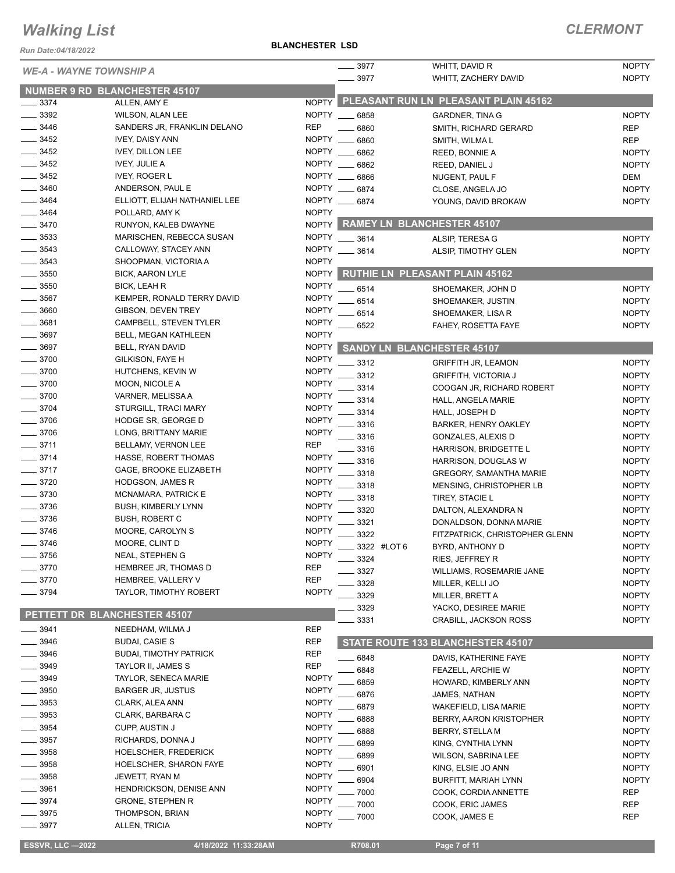### **BLANCHESTER LSD**

| Run Date:04/18/2022            |                                                | <b>BLANCHESTER LSD</b>       |                       |                                         |                              |
|--------------------------------|------------------------------------------------|------------------------------|-----------------------|-----------------------------------------|------------------------------|
| <b>WE-A - WAYNE TOWNSHIP A</b> |                                                |                              | 3977<br>.3977         | WHITT, DAVID R<br>WHITT, ZACHERY DAVID  | <b>NOPTY</b><br><b>NOPTY</b> |
| NUMBER 9 RD BLANCHESTER 45107  |                                                |                              |                       |                                         |                              |
| 3374                           | ALLEN, AMY E                                   | <b>NOPTY</b>                 |                       | PLEASANT RUN LN PLEASANT PLAIN 45162    |                              |
| 3392                           | <b>WILSON, ALAN LEE</b>                        | <b>NOPTY</b>                 | 6858                  | <b>GARDNER, TINA G</b>                  | <b>NOPTY</b>                 |
| 3446                           | SANDERS JR, FRANKLIN DELANO                    | <b>REP</b>                   | 6860                  | SMITH, RICHARD GERARD                   | <b>REP</b>                   |
| $-3452$                        | <b>IVEY, DAISY ANN</b>                         | <b>NOPTY</b>                 | 6860                  | SMITH, WILMAL                           | <b>REP</b>                   |
| $\frac{1}{2}$ 3452<br>3452     | <b>IVEY, DILLON LEE</b>                        | NOPTY ___<br>NOPTY           | .6862                 | REED, BONNIE A                          | <b>NOPTY</b>                 |
| $\frac{1}{2}$ 3452             | <b>IVEY, JULIE A</b><br><b>IVEY, ROGER L</b>   | <b>NOPTY</b>                 | 6862                  | REED, DANIEL J                          | <b>NOPTY</b>                 |
| 3460                           | ANDERSON, PAUL E                               |                              | 6866<br>NOPTY __ 6874 | NUGENT, PAUL F<br>CLOSE, ANGELA JO      | DEM<br><b>NOPTY</b>          |
| $-3464$                        | ELLIOTT, ELIJAH NATHANIEL LEE                  |                              | NOPTY __ 6874         | YOUNG, DAVID BROKAW                     | <b>NOPTY</b>                 |
| 3464                           | POLLARD, AMY K                                 | <b>NOPTY</b>                 |                       |                                         |                              |
| 3470                           | RUNYON, KALEB DWAYNE                           | <b>NOPTY</b>                 |                       | RAMEY LN BLANCHESTER 45107              |                              |
| 3533                           | MARISCHEN, REBECCA SUSAN                       | <b>NOPTY</b>                 | $-3614$               | ALSIP, TERESA G                         | <b>NOPTY</b>                 |
| 3543                           | CALLOWAY, STACEY ANN                           | <b>NOPTY</b>                 | 3614                  | ALSIP, TIMOTHY GLEN                     | <b>NOPTY</b>                 |
| 3543                           | SHOOPMAN, VICTORIA A                           | <b>NOPTY</b>                 |                       |                                         |                              |
| 3550                           | <b>BICK, AARON LYLE</b>                        | <b>NOPTY</b>                 |                       | <b>RUTHIE LN PLEASANT PLAIN 45162</b>   |                              |
| 3550                           | <b>BICK, LEAH R</b>                            | <b>NOPTY</b>                 | 6514                  | SHOEMAKER, JOHN D                       | <b>NOPTY</b>                 |
| 3567                           | KEMPER, RONALD TERRY DAVID                     | <b>NOPTY</b>                 | 6514                  | SHOEMAKER, JUSTIN                       | <b>NOPTY</b>                 |
| 3660                           | GIBSON, DEVEN TREY                             | <b>NOPTY</b>                 | 6514                  | SHOEMAKER, LISA R                       | <b>NOPTY</b>                 |
| 3681                           | CAMPBELL, STEVEN TYLER                         | <b>NOPTY</b>                 | 6522                  | FAHEY, ROSETTA FAYE                     | <b>NOPTY</b>                 |
| 3697                           | BELL, MEGAN KATHLEEN                           | <b>NOPTY</b>                 |                       |                                         |                              |
| 3697                           | BELL, RYAN DAVID                               | <b>NOPTY</b>                 |                       | <b>SANDY LN BLANCHESTER 45107</b>       |                              |
| $-3700$                        | GILKISON, FAYE H                               | <b>NOPTY</b>                 | 3312                  | <b>GRIFFITH JR, LEAMON</b>              | <b>NOPTY</b>                 |
| $-3700$                        | HUTCHENS, KEVIN W                              | <b>NOPTY</b>                 | 3312                  | <b>GRIFFITH, VICTORIA J</b>             | <b>NOPTY</b>                 |
| $-3700$                        | MOON, NICOLE A                                 | <b>NOPTY</b>                 | 3314                  | COOGAN JR, RICHARD ROBERT               | <b>NOPTY</b>                 |
| $- 3700$                       | VARNER, MELISSA A                              | <b>NOPTY</b>                 | 3314                  | HALL, ANGELA MARIE                      | <b>NOPTY</b>                 |
| 3704                           | STURGILL, TRACI MARY                           | <b>NOPTY</b>                 | 3314                  | HALL, JOSEPH D                          | <b>NOPTY</b>                 |
| $- 3706$                       | HODGE SR, GEORGE D                             | <b>NOPTY</b>                 | 3316                  | <b>BARKER, HENRY OAKLEY</b>             | <b>NOPTY</b>                 |
| 3706                           | LONG, BRITTANY MARIE                           | <b>NOPTY</b>                 | 3316                  | GONZALES, ALEXIS D                      | <b>NOPTY</b>                 |
| 3711                           | BELLAMY, VERNON LEE                            | <b>REP</b>                   | 3316                  | HARRISON, BRIDGETTE L                   | <b>NOPTY</b>                 |
| $-3714$                        | HASSE, ROBERT THOMAS                           | <b>NOPTY</b>                 | 3316                  | HARRISON, DOUGLAS W                     | <b>NOPTY</b>                 |
| $-3717$<br>$- 3720$            | GAGE, BROOKE ELIZABETH                         | <b>NOPTY</b><br><b>NOPTY</b> | 3318                  | <b>GREGORY, SAMANTHA MARIE</b>          | <b>NOPTY</b>                 |
| $-3730$                        | <b>HODGSON, JAMES R</b><br>MCNAMARA, PATRICK E | <b>NOPTY</b>                 | 3318                  | MENSING, CHRISTOPHER LB                 | <b>NOPTY</b>                 |
| 3736                           | <b>BUSH, KIMBERLY LYNN</b>                     | <b>NOPTY</b>                 | 3318                  | TIREY, STACIE L                         | <b>NOPTY</b>                 |
| 3736                           | <b>BUSH, ROBERT C</b>                          | <b>NOPTY</b>                 | 3320                  | DALTON, ALEXANDRA N                     | <b>NOPTY</b>                 |
| 3746                           | MOORE, CAROLYN S                               | <b>NOPTY</b>                 | 3321                  | DONALDSON, DONNA MARIE                  | <b>NOPTY</b>                 |
| 3746                           | MOORE, CLINT D                                 | <b>NOPTY</b>                 | 3322                  | FITZPATRICK, CHRISTOPHER GLENN          | <b>NOPTY</b>                 |
| 3756                           | NEAL, STEPHEN G                                | <b>NOPTY</b>                 | 3322 #LOT 6           | BYRD, ANTHONY D                         | <b>NOPTY</b>                 |
| 3770                           | HEMBREE JR, THOMAS D                           | <b>REP</b>                   | 3324                  | <b>RIES, JEFFREY R</b>                  | <b>NOPTY</b>                 |
| 3770                           | HEMBREE, VALLERY V                             | <b>REP</b>                   | 3327                  | WILLIAMS, ROSEMARIE JANE                | <b>NOPTY</b>                 |
| 3794                           | TAYLOR, TIMOTHY ROBERT                         | <b>NOPTY</b>                 | 3328<br>3329          | MILLER, KELLI JO                        | <b>NOPTY</b><br><b>NOPTY</b> |
|                                |                                                |                              | 3329                  | MILLER, BRETT A<br>YACKO, DESIREE MARIE | <b>NOPTY</b>                 |
| PETTETT DR BLANCHESTER 45107   |                                                |                              | 3331                  | CRABILL, JACKSON ROSS                   | <b>NOPTY</b>                 |
| 3941                           | NEEDHAM, WILMA J                               | <b>REP</b>                   |                       |                                         |                              |
| $-3946$                        | <b>BUDAI, CASIE S</b>                          | <b>REP</b>                   |                       | STATE ROUTE 133 BLANCHESTER 45107       |                              |
| 3946                           | <b>BUDAI, TIMOTHY PATRICK</b>                  | <b>REP</b>                   | 6848                  | DAVIS, KATHERINE FAYE                   | <b>NOPTY</b>                 |
| 3949                           | TAYLOR II, JAMES S                             | <b>REP</b>                   | 6848                  | <b>FEAZELL, ARCHIE W</b>                | <b>NOPTY</b>                 |
| 3949                           | <b>TAYLOR, SENECA MARIE</b>                    | <b>NOPTY</b>                 | 6859                  | HOWARD, KIMBERLY ANN                    | <b>NOPTY</b>                 |
| 3950                           | <b>BARGER JR, JUSTUS</b>                       | <b>NOPTY</b>                 | 6876                  | JAMES, NATHAN                           | <b>NOPTY</b>                 |
| 3953                           | CLARK, ALEA ANN                                | <b>NOPTY</b>                 | 6879                  | WAKEFIELD, LISA MARIE                   | <b>NOPTY</b>                 |
| 3953                           | CLARK, BARBARA C                               | <b>NOPTY</b>                 | 6888                  | <b>BERRY, AARON KRISTOPHER</b>          | <b>NOPTY</b>                 |
| 3954                           | <b>CUPP, AUSTIN J</b>                          | <b>NOPTY</b>                 | 6888                  | <b>BERRY, STELLA M</b>                  | <b>NOPTY</b>                 |
| 3957                           | RICHARDS, DONNA J                              | <b>NOPTY</b>                 | 6899                  | KING, CYNTHIA LYNN                      | <b>NOPTY</b>                 |
| 3958                           | HOELSCHER, FREDERICK                           | <b>NOPTY</b>                 | 6899                  | <b>WILSON, SABRINA LEE</b>              | <b>NOPTY</b>                 |
| 3958                           | HOELSCHER, SHARON FAYE                         | <b>NOPTY</b>                 | 6901                  | KING, ELSIE JO ANN                      | <b>NOPTY</b>                 |
| 3958                           | JEWETT, RYAN M                                 | <b>NOPTY</b>                 | 6904                  | BURFITT, MARIAH LYNN                    | <b>NOPTY</b>                 |
| 3961                           | HENDRICKSON, DENISE ANN                        | <b>NOPTY</b>                 | 7000                  | COOK, CORDIA ANNETTE                    | <b>REP</b>                   |
| 3974                           | <b>GRONE, STEPHEN R</b>                        | <b>NOPTY</b>                 | 7000                  | COOK, ERIC JAMES                        | <b>REP</b>                   |
| 3975                           | THOMPSON, BRIAN                                | <b>NOPTY</b>                 | 7000                  | COOK, JAMES E                           | <b>REP</b>                   |
| $= 3977$                       | ALLEN, TRICIA                                  | <b>NOPTY</b>                 |                       |                                         |                              |
| <b>ESSVR, LLC -2022</b>        | 4/18/2022 11:33:28AM                           |                              | R708.01               | Page 7 of 11                            |                              |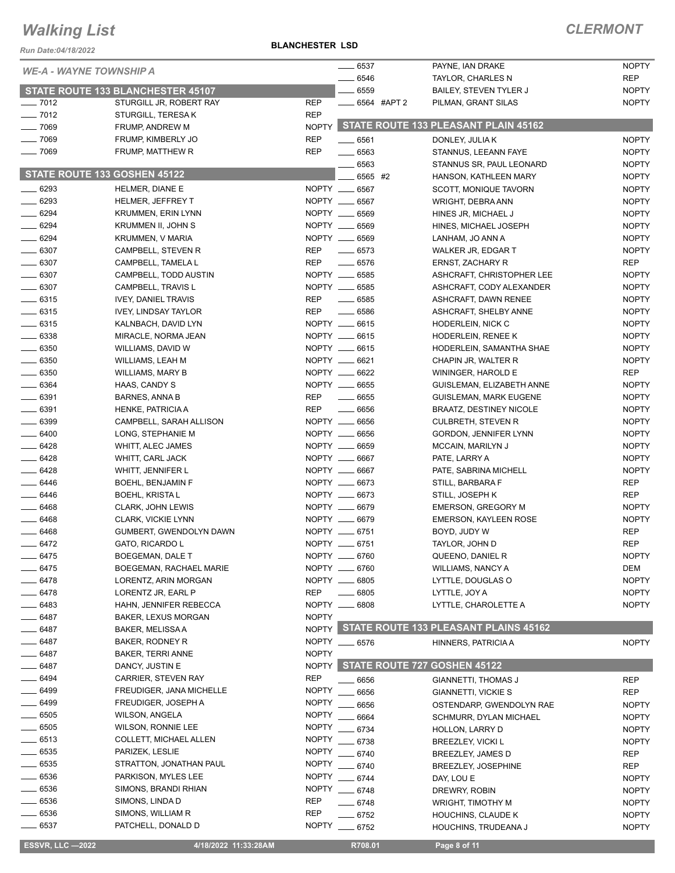*Run Date:04/18/2022*

**BLANCHESTER LSD**

| <b>WE-A - WAYNE TOWNSHIP A</b> |                                             |                          | $- 6537$                  | PAYNE, IAN DRAKE                              | <b>NOPTY</b>        |
|--------------------------------|---------------------------------------------|--------------------------|---------------------------|-----------------------------------------------|---------------------|
|                                |                                             |                          | 6546                      | TAYLOR, CHARLES N                             | <b>REP</b>          |
|                                | STATE ROUTE 133 BLANCHESTER 45107           |                          | 6559                      | BAILEY, STEVEN TYLER J                        | <b>NOPTY</b>        |
| $- 7012$                       | STURGILL JR, ROBERT RAY                     | <b>REP</b>               | $\frac{1}{2}$ 6564 #APT 2 | PILMAN, GRANT SILAS                           | <b>NOPTY</b>        |
| $- 7012$                       | STURGILL, TERESA K                          | <b>REP</b>               |                           |                                               |                     |
| $- 7069$                       | FRUMP, ANDREW M                             | <b>NOPTY</b>             |                           | STATE ROUTE 133 PLEASANT PLAIN 45162          |                     |
| $-7069$                        | FRUMP, KIMBERLY JO                          | <b>REP</b>               | $\frac{1}{2}$ 6561        | DONLEY, JULIA K                               | <b>NOPTY</b>        |
| $-7069$                        | FRUMP, MATTHEW R                            | <b>REP</b>               | $- 6563$                  | STANNUS, LEEANN FAYE                          | <b>NOPTY</b>        |
| STATE ROUTE 133 GOSHEN 45122   |                                             |                          | $-6563$                   | STANNUS SR, PAUL LEONARD                      | <b>NOPTY</b>        |
|                                |                                             |                          | 6565 #2                   | HANSON, KATHLEEN MARY                         | <b>NOPTY</b>        |
| $- 6293$                       | HELMER, DIANE E                             |                          | NOPTY __ 6567             | SCOTT, MONIQUE TAVORN                         | <b>NOPTY</b>        |
| $- 6293$                       | <b>HELMER, JEFFREY T</b>                    |                          | NOPTY __ 6567             | WRIGHT, DEBRA ANN                             | <b>NOPTY</b>        |
| $- 6294$                       | <b>KRUMMEN, ERIN LYNN</b>                   |                          | NOPTY __ 6569             | HINES JR, MICHAEL J                           | <b>NOPTY</b>        |
| $- 6294$                       | KRUMMEN II, JOHN S                          |                          | NOPTY __ 6569             | HINES, MICHAEL JOSEPH                         | <b>NOPTY</b>        |
| $- 6294$                       | <b>KRUMMEN, V MARIA</b>                     |                          | NOPTY __ 6569             | LANHAM, JO ANN A                              | <b>NOPTY</b>        |
| $-6307$<br>$\frac{1}{2}$ 6307  | CAMPBELL, STEVEN R                          | <b>REP</b><br><b>REP</b> | $-6573$<br>$- 6576$       | WALKER JR, EDGAR T                            | <b>NOPTY</b><br>REP |
| $- 6307$                       | CAMPBELL, TAMELA L<br>CAMPBELL, TODD AUSTIN |                          | NOPTY __ 6585             | ERNST, ZACHARY R<br>ASHCRAFT, CHRISTOPHER LEE | <b>NOPTY</b>        |
| $- 6307$                       | CAMPBELL, TRAVIS L                          |                          | NOPTY __ 6585             | ASHCRAFT, CODY ALEXANDER                      | <b>NOPTY</b>        |
| $-6315$                        | <b>IVEY, DANIEL TRAVIS</b>                  | <b>REP</b>               | $\frac{1}{2}$ 6585        | ASHCRAFT, DAWN RENEE                          | <b>NOPTY</b>        |
| $-6315$                        | <b>IVEY, LINDSAY TAYLOR</b>                 | <b>REP</b>               | $- 6586$                  | ASHCRAFT, SHELBY ANNE                         | <b>NOPTY</b>        |
| $\frac{1}{2}$ 6315             | KALNBACH, DAVID LYN                         |                          | NOPTY __ 6615             | <b>HODERLEIN, NICK C</b>                      | <b>NOPTY</b>        |
| $-6338$                        | MIRACLE, NORMA JEAN                         |                          | NOPTY __ 6615             | HODERLEIN, RENEE K                            | <b>NOPTY</b>        |
| $\frac{1}{2}$ 6350             | WILLIAMS, DAVID W                           |                          | NOPTY __ 6615             | HODERLEIN, SAMANTHA SHAE                      | <b>NOPTY</b>        |
| $- 6350$                       | WILLIAMS, LEAH M                            |                          | NOPTY __ 6621             | CHAPIN JR, WALTER R                           | <b>NOPTY</b>        |
| $- 6350$                       | WILLIAMS, MARY B                            |                          | NOPTY __ 6622             | WININGER, HAROLD E                            | <b>REP</b>          |
| $\frac{1}{2}$ 6364             | HAAS, CANDY S                               |                          | NOPTY __ 6655             | GUISLEMAN, ELIZABETH ANNE                     | <b>NOPTY</b>        |
| $- 6391$                       | <b>BARNES, ANNA B</b>                       | <b>REP</b>               | $\frac{1}{2}$ 6655        | <b>GUISLEMAN, MARK EUGENE</b>                 | <b>NOPTY</b>        |
| $\frac{1}{2}$ 6391             | HENKE, PATRICIA A                           | <b>REP</b>               | $\frac{1}{2}$ 6656        | <b>BRAATZ, DESTINEY NICOLE</b>                | <b>NOPTY</b>        |
| $\frac{1}{2}$ 6399             | CAMPBELL, SARAH ALLISON                     |                          | NOPTY __ 6656             | <b>CULBRETH, STEVEN R</b>                     | <b>NOPTY</b>        |
| $-6400$                        | LONG, STEPHANIE M                           |                          | NOPTY __ 6656             | GORDON, JENNIFER LYNN                         | <b>NOPTY</b>        |
| $-6428$                        | WHITT, ALEC JAMES                           |                          | NOPTY __ 6659             | MCCAIN, MARILYN J                             | <b>NOPTY</b>        |
| $- 6428$                       | WHITT, CARL JACK                            |                          | NOPTY __ 6667             | PATE, LARRY A                                 | <b>NOPTY</b>        |
| $-6428$                        | WHITT, JENNIFER L                           |                          | NOPTY __ 6667             | PATE, SABRINA MICHELL                         | <b>NOPTY</b>        |
| $-6446$                        | <b>BOEHL, BENJAMIN F</b>                    |                          | NOPTY __ 6673             | STILL, BARBARA F                              | <b>REP</b>          |
| $-6446$                        | <b>BOEHL, KRISTA L</b>                      |                          | NOPTY __ 6673             | STILL, JOSEPH K                               | <b>REP</b>          |
| $- 6468$                       | CLARK, JOHN LEWIS                           |                          | NOPTY __ 6679             | <b>EMERSON, GREGORY M</b>                     | <b>NOPTY</b>        |
| $- 6468$                       | <b>CLARK, VICKIE LYNN</b>                   |                          | NOPTY __ 6679             | <b>EMERSON, KAYLEEN ROSE</b>                  | <b>NOPTY</b>        |
| $- 6468$                       | GUMBERT, GWENDOLYN DAWN                     |                          | NOPTY __ 6751             | BOYD, JUDY W                                  | <b>REP</b>          |
| 6472                           | GATO, RICARDO L                             |                          | NOPTY __ 6751             | TAYLOR, JOHN D                                | <b>REP</b>          |
| 6475                           | BOEGEMAN, DALE T                            |                          | NOPTY __ 6760             | QUEENO, DANIEL R                              | <b>NOPTY</b>        |
| 6475                           | BOEGEMAN, RACHAEL MARIE                     |                          | NOPTY __ 6760             | WILLIAMS, NANCY A                             | DEM                 |
| 6478                           | LORENTZ, ARIN MORGAN                        |                          | NOPTY __ 6805             | LYTTLE, DOUGLAS O                             | <b>NOPTY</b>        |
| _ 6478                         | LORENTZ JR, EARL P                          | <b>REP</b>               | 6805                      | LYTTLE, JOY A                                 | <b>NOPTY</b>        |
| - 6483                         | HAHN, JENNIFER REBECCA                      |                          | NOPTY __ 6808             | LYTTLE, CHAROLETTE A                          | <b>NOPTY</b>        |
| _ 6487                         | <b>BAKER, LEXUS MORGAN</b>                  | <b>NOPTY</b>             |                           |                                               |                     |
| __ 6487                        | BAKER, MELISSA A                            |                          |                           | NOPTY STATE ROUTE 133 PLEASANT PLAINS 45162   |                     |
| __ 6487                        | BAKER, RODNEY R                             |                          | NOPTY __ 6576             | HINNERS, PATRICIA A                           | <b>NOPTY</b>        |
| _ 6487                         | <b>BAKER, TERRI ANNE</b>                    | <b>NOPTY</b>             |                           |                                               |                     |
| $-6487$                        | DANCY, JUSTIN E                             | <b>NOPTY</b>             |                           | STATE ROUTE 727 GOSHEN 45122                  |                     |
| _ 6494                         | CARRIER, STEVEN RAY                         | <b>REP</b>               | - 6656                    | <b>GIANNETTI, THOMAS J</b>                    | <b>REP</b>          |
| $-6499$                        | FREUDIGER, JANA MICHELLE                    | <b>NOPTY</b>             | 6656                      | GIANNETTI, VICKIE S                           | <b>REP</b>          |
| _ 6499                         | FREUDIGER, JOSEPH A                         | <b>NOPTY</b>             | 6656                      | OSTENDARP, GWENDOLYN RAE                      | <b>NOPTY</b>        |
| 6505                           | <b>WILSON, ANGELA</b>                       | <b>NOPTY</b>             | 6664                      | <b>SCHMURR, DYLAN MICHAEL</b>                 | <b>NOPTY</b>        |
| 6505                           | WILSON, RONNIE LEE                          | <b>NOPTY</b>             | 6734                      | HOLLON, LARRY D                               | <b>NOPTY</b>        |
| 6513                           | COLLETT, MICHAEL ALLEN                      | <b>NOPTY</b>             | 6738                      | <b>BREEZLEY, VICKI L</b>                      | <b>NOPTY</b>        |
| $-6535$                        | PARIZEK, LESLIE                             |                          | NOPTY __ 6740             | BREEZLEY, JAMES D                             | <b>REP</b>          |
| .6535                          | STRATTON, JONATHAN PAUL                     |                          | NOPTY __ 6740             | <b>BREEZLEY, JOSEPHINE</b>                    | <b>REP</b>          |
| 6536                           | PARKISON, MYLES LEE                         | <b>NOPTY</b>             | $-6744$                   | DAY, LOU E                                    | <b>NOPTY</b>        |
| 6536                           | SIMONS, BRANDI RHIAN                        |                          | NOPTY __ 6748             | DREWRY, ROBIN                                 | <b>NOPTY</b>        |
| 6536<br>- 6536                 | SIMONS, LINDA D<br>SIMONS, WILLIAM R        | <b>REP</b><br><b>REP</b> | $-6748$                   | WRIGHT, TIMOTHY M                             | <b>NOPTY</b>        |
| 6537                           | PATCHELL, DONALD D                          | <b>NOPTY</b>             | $-6752$                   | HOUCHINS, CLAUDE K                            | <b>NOPTY</b>        |
|                                |                                             |                          | $- 6752$                  | HOUCHINS, TRUDEANA J                          | <b>NOPTY</b>        |
| <b>ESSVR, LLC -2022</b>        | 4/18/2022 11:33:28AM                        |                          | R708.01                   | Page 8 of 11                                  |                     |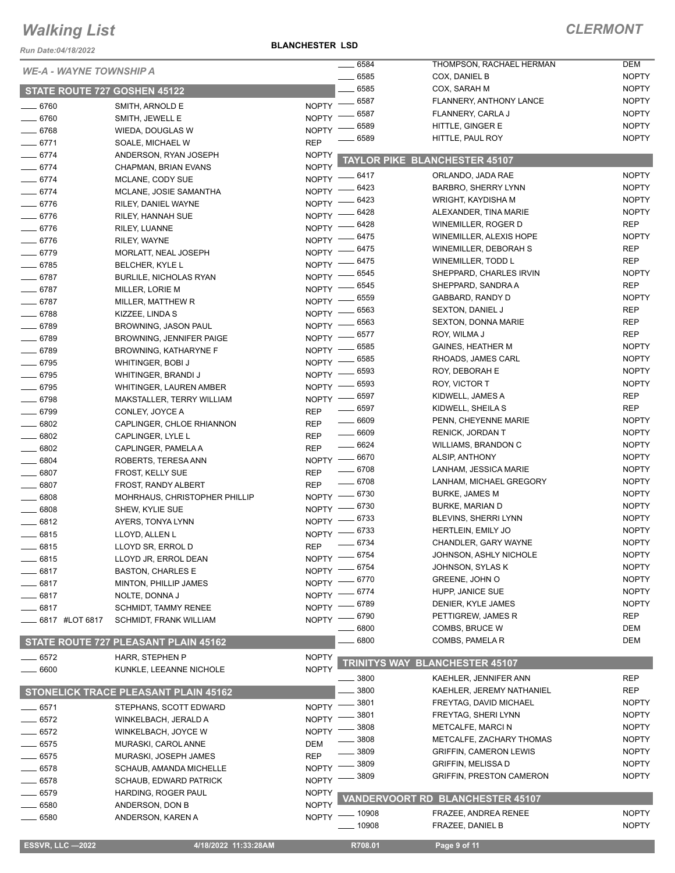*Run Date:04/18/2022*

**BLANCHESTER LSD**

| <b>WE-A - WAYNE TOWNSHIP A</b><br>6585<br><b>NOPTY</b><br>COX, DANIEL B<br>6585<br><b>NOPTY</b><br>COX, SARAH M<br>STATE ROUTE 727 GOSHEN 45122<br>6587<br><b>NOPTY</b><br>FLANNERY, ANTHONY LANCE<br><b>NOPTY</b><br>$=$ 6760<br>SMITH, ARNOLD E<br>6587<br><b>NOPTY</b><br>FLANNERY, CARLA J<br><b>NOPTY</b><br>$- 6760$<br>SMITH, JEWELL E<br><b>NOPTY</b><br>6589<br>HITTLE, GINGER E<br><b>NOPTY</b><br>$- 6768$<br>WIEDA, DOUGLAS W<br><b>NOPTY</b><br>6589<br>HITTLE, PAUL ROY<br><b>REP</b><br>$-6771$<br>SOALE, MICHAEL W<br>$- 6774$<br><b>NOPTY</b><br>ANDERSON, RYAN JOSEPH<br><b>TAYLOR PIKE BLANCHESTER 45107</b><br><b>NOPTY</b><br>$- 6774$<br>CHAPMAN, BRIAN EVANS<br><b>NOPTY</b><br>ORLANDO, JADA RAE<br>- 6417<br>$- 6774$<br><b>NOPTY</b><br>MCLANE, CODY SUE<br><b>NOPTY</b><br>6423<br><b>BARBRO, SHERRY LYNN</b><br>$-6774$<br>NOPTY -<br>MCLANE, JOSIE SAMANTHA<br>6423<br><b>NOPTY</b><br>WRIGHT, KAYDISHA M<br>$-6776$<br>NOPTY -<br>RILEY, DANIEL WAYNE<br>6428<br><b>NOPTY</b><br>ALEXANDER, TINA MARIE<br>$-6776$<br><b>NOPTY</b><br>RILEY, HANNAH SUE<br>6428<br><b>REP</b><br>WINEMILLER, ROGER D<br>$-6776$<br><b>NOPTY</b><br>RILEY, LUANNE<br><b>NOPTY</b><br>6475<br>WINEMILLER, ALEXIS HOPE<br>$- 6776$<br><b>NOPTY</b><br>RILEY, WAYNE<br>6475<br><b>REP</b><br>WINEMILLER, DEBORAH S<br>NOPTY -<br>$- 6779$<br>MORLATT, NEAL JOSEPH<br><b>REP</b><br>6475<br>WINEMILLER, TODD L<br>NOPTY -<br>$- 6785$<br>BELCHER, KYLE L<br><b>NOPTY</b><br>6545<br>SHEPPARD, CHARLES IRVIN<br>$NOPTY =$<br>$- 6787$<br><b>BURLILE, NICHOLAS RYAN</b><br>6545<br><b>REP</b><br>SHEPPARD, SANDRA A<br>$NOPTY =$<br>$-6787$<br>MILLER, LORIE M<br><b>NOPTY</b><br>6559<br>GABBARD, RANDY D<br>NOPTY -<br>$- 6787$<br>MILLER, MATTHEW R<br><b>REP</b><br>6563<br><b>SEXTON, DANIEL J</b><br>NOPTY -<br>$- 6788$<br>KIZZEE, LINDA S<br><b>REP</b><br>6563<br><b>SEXTON, DONNA MARIE</b><br>$- 6789$<br>NOPTY -<br><b>BROWNING, JASON PAUL</b><br><b>REP</b><br>6577<br>ROY, WILMA J<br><b>NOPTY</b><br>$- 6789$<br><b>BROWNING, JENNIFER PAIGE</b><br><b>NOPTY</b><br>6585<br><b>GAINES, HEATHER M</b><br><b>NOPTY</b><br>$-6789$<br>BROWNING, KATHARYNE F<br><b>NOPTY</b><br>6585<br>RHOADS, JAMES CARL<br>NOPTY -<br>$- 6795$<br><b>WHITINGER, BOBI J</b><br><b>NOPTY</b><br>6593<br>ROY, DEBORAH E<br>$-6795$<br>NOPTY :<br>WHITINGER, BRANDI J<br><b>NOPTY</b><br>6593<br>ROY, VICTOR T<br><b>NOPTY</b><br>$- 6795$<br>WHITINGER, LAUREN AMBER<br><b>REP</b><br>6597<br>KIDWELL, JAMES A<br>$- 6798$<br>NOPTY -<br>MAKSTALLER, TERRY WILLIAM<br>6597<br><b>REP</b><br>KIDWELL, SHEILA S<br>$- 6799$<br><b>REP</b><br>CONLEY, JOYCE A<br>$- 6609$<br><b>NOPTY</b><br>PENN, CHEYENNE MARIE<br>6802<br><b>REP</b><br>CAPLINGER, CHLOE RHIANNON<br>$- 6609$<br><b>NOPTY</b><br>RENICK, JORDAN T<br>6802<br><b>REP</b><br>CAPLINGER, LYLE L<br>$- 6624$<br><b>NOPTY</b><br><b>WILLIAMS, BRANDON C</b><br>6802<br><b>REP</b><br>CAPLINGER, PAMELA A<br>6670<br><b>NOPTY</b><br>ALSIP, ANTHONY<br>$NOPTY$ ––<br>6804<br>ROBERTS, TERESA ANN<br>6708<br><b>NOPTY</b><br>LANHAM, JESSICA MARIE<br><b>REP</b><br>6807<br>FROST, KELLY SUE<br>- 6708<br><b>NOPTY</b><br>LANHAM, MICHAEL GREGORY<br><b>REP</b><br>6807<br>FROST, RANDY ALBERT<br>$-6730$<br><b>NOPTY</b><br>BURKE, JAMES M<br>6808<br>NOPTY -<br>MOHRHAUS, CHRISTOPHER PHILLIP<br><b>NOPTY</b><br>6730<br><b>BURKE, MARIAN D</b><br>NOPTY -<br>6808<br>SHEW, KYLIE SUE<br>6733<br><b>NOPTY</b><br>BLEVINS, SHERRI LYNN<br>6812<br><b>NOPTY</b><br>AYERS, TONYA LYNN<br><b>NOPTY</b><br>6733<br>HERTLEIN, EMILY JO<br>NOPTY -<br>6815<br>LLOYD, ALLEN L<br><b>NOPTY</b><br>6734<br>CHANDLER, GARY WAYNE<br><b>REP</b><br>6815<br>LLOYD SR, ERROL D<br><b>NOPTY</b><br>NOPTY -8754<br>JOHNSON, ASHLY NICHOLE<br>$=$ 6815<br>LLOYD JR, ERROL DEAN<br>6754<br><b>NOPTY</b><br>JOHNSON, SYLAS K<br>NOPTY -<br>$-6817$<br><b>BASTON, CHARLES E</b><br>6770<br>GREENE, JOHN O<br><b>NOPTY</b><br>NOPTY -<br>$-6817$<br>MINTON, PHILLIP JAMES<br><b>NOPTY</b><br>6774<br>HUPP, JANICE SUE<br>NOPTY -<br>6817<br>NOLTE, DONNA J<br><b>NOPTY</b><br>6789<br>DENIER, KYLE JAMES<br><b>NOPTY</b><br>6817<br><b>SCHMIDT, TAMMY RENEE</b><br><b>REP</b><br>6790<br>PETTIGREW, JAMES R<br><b>NOPTY</b><br>6817 #LOT 6817<br><b>SCHMIDT, FRANK WILLIAM</b><br>DEM<br>6800<br>COMBS, BRUCE W<br>6800<br>DEM<br>COMBS, PAMELA R<br>STATE ROUTE 727 PLEASANT PLAIN 45162<br><b>NOPTY</b><br>6572<br>HARR, STEPHEN P<br>TRINITYS WAY BLANCHESTER 45107<br><b>NOPTY</b><br>6600<br>KUNKLE, LEEANNE NICHOLE<br><b>REP</b><br>3800<br>KAEHLER, JENNIFER ANN<br>3800<br><b>REP</b><br>KAEHLER, JEREMY NATHANIEL<br><b>STONELICK TRACE PLEASANT PLAIN 45162</b><br>3801<br><b>NOPTY</b><br>FREYTAG, DAVID MICHAEL<br><b>NOPTY</b><br>6571<br>STEPHANS, SCOTT EDWARD<br>3801<br>FREYTAG, SHERI LYNN<br><b>NOPTY</b><br><b>NOPTY</b><br>$= 6572$<br>WINKELBACH, JERALD A<br>3808<br><b>NOPTY</b><br><b>METCALFE, MARCIN</b><br>6572<br><b>NOPTY</b><br>WINKELBACH, JOYCE W<br>3808<br><b>NOPTY</b><br>METCALFE, ZACHARY THOMAS<br>6575<br>MURASKI, CAROL ANNE<br>DEM<br>3809<br><b>NOPTY</b><br><b>GRIFFIN, CAMERON LEWIS</b><br>6575<br><b>REP</b><br>MURASKI, JOSEPH JAMES<br><b>NOPTY</b><br>3809<br><b>GRIFFIN, MELISSA D</b><br>6578<br><b>NOPTY</b><br>SCHAUB, AMANDA MICHELLE<br>3809<br><b>GRIFFIN, PRESTON CAMERON</b><br><b>NOPTY</b><br><b>NOPTY</b><br>6578<br><b>SCHAUB, EDWARD PATRICK</b><br>6579<br><b>NOPTY</b><br>HARDING, ROGER PAUL<br><b>VANDERVOORT RD_BLANCHESTER 45107</b><br>6580<br><b>NOPTY</b><br>ANDERSON, DON B<br><b>NOPTY</b><br>FRAZEE, ANDREA RENEE<br>_ 10908<br><b>NOPTY</b><br>6580<br>ANDERSON, KAREN A<br><b>NOPTY</b><br>. 10908<br>FRAZEE, DANIEL B<br><b>ESSVR, LLC -2022</b><br>4/18/2022 11:33:28AM<br>R708.01<br>Page 9 of 11 |  | 6584 | THOMPSON, RACHAEL HERMAN | <b>DEM</b> |
|-----------------------------------------------------------------------------------------------------------------------------------------------------------------------------------------------------------------------------------------------------------------------------------------------------------------------------------------------------------------------------------------------------------------------------------------------------------------------------------------------------------------------------------------------------------------------------------------------------------------------------------------------------------------------------------------------------------------------------------------------------------------------------------------------------------------------------------------------------------------------------------------------------------------------------------------------------------------------------------------------------------------------------------------------------------------------------------------------------------------------------------------------------------------------------------------------------------------------------------------------------------------------------------------------------------------------------------------------------------------------------------------------------------------------------------------------------------------------------------------------------------------------------------------------------------------------------------------------------------------------------------------------------------------------------------------------------------------------------------------------------------------------------------------------------------------------------------------------------------------------------------------------------------------------------------------------------------------------------------------------------------------------------------------------------------------------------------------------------------------------------------------------------------------------------------------------------------------------------------------------------------------------------------------------------------------------------------------------------------------------------------------------------------------------------------------------------------------------------------------------------------------------------------------------------------------------------------------------------------------------------------------------------------------------------------------------------------------------------------------------------------------------------------------------------------------------------------------------------------------------------------------------------------------------------------------------------------------------------------------------------------------------------------------------------------------------------------------------------------------------------------------------------------------------------------------------------------------------------------------------------------------------------------------------------------------------------------------------------------------------------------------------------------------------------------------------------------------------------------------------------------------------------------------------------------------------------------------------------------------------------------------------------------------------------------------------------------------------------------------------------------------------------------------------------------------------------------------------------------------------------------------------------------------------------------------------------------------------------------------------------------------------------------------------------------------------------------------------------------------------------------------------------------------------------------------------------------------------------------------------------------------------------------------------------------------------------------------------------------------------------------------------------------------------------------------------------------------------------------------------------------------------------------------------------------------------------------------------------------------------------------------------------------------------------------------------------------------------------------------------------------------------------------------------------------------------------------------------------------------------------------------------------------------------------------------------------------------------------------------------------------------------------------------------------------------------------------------------------------------------------------------------------------------------------------------------------------------------------------------------------------------------------------------------------------------------------------------------------------------------------------------------------------------------------------------------------------------------------------------------------------------------------------------------------------------------------------------------------------------------------------------------------------------------------------------------------------------------------------------------------------------------------------------------------------------------------|--|------|--------------------------|------------|
|                                                                                                                                                                                                                                                                                                                                                                                                                                                                                                                                                                                                                                                                                                                                                                                                                                                                                                                                                                                                                                                                                                                                                                                                                                                                                                                                                                                                                                                                                                                                                                                                                                                                                                                                                                                                                                                                                                                                                                                                                                                                                                                                                                                                                                                                                                                                                                                                                                                                                                                                                                                                                                                                                                                                                                                                                                                                                                                                                                                                                                                                                                                                                                                                                                                                                                                                                                                                                                                                                                                                                                                                                                                                                                                                                                                                                                                                                                                                                                                                                                                                                                                                                                                                                                                                                                                                                                                                                                                                                                                                                                                                                                                                                                                                                                                                                                                                                                                                                                                                                                                                                                                                                                                                                                                                                                                                                                                                                                                                                                                                                                                                                                                                                                                                                                                                                             |  |      |                          |            |
|                                                                                                                                                                                                                                                                                                                                                                                                                                                                                                                                                                                                                                                                                                                                                                                                                                                                                                                                                                                                                                                                                                                                                                                                                                                                                                                                                                                                                                                                                                                                                                                                                                                                                                                                                                                                                                                                                                                                                                                                                                                                                                                                                                                                                                                                                                                                                                                                                                                                                                                                                                                                                                                                                                                                                                                                                                                                                                                                                                                                                                                                                                                                                                                                                                                                                                                                                                                                                                                                                                                                                                                                                                                                                                                                                                                                                                                                                                                                                                                                                                                                                                                                                                                                                                                                                                                                                                                                                                                                                                                                                                                                                                                                                                                                                                                                                                                                                                                                                                                                                                                                                                                                                                                                                                                                                                                                                                                                                                                                                                                                                                                                                                                                                                                                                                                                                             |  |      |                          |            |
|                                                                                                                                                                                                                                                                                                                                                                                                                                                                                                                                                                                                                                                                                                                                                                                                                                                                                                                                                                                                                                                                                                                                                                                                                                                                                                                                                                                                                                                                                                                                                                                                                                                                                                                                                                                                                                                                                                                                                                                                                                                                                                                                                                                                                                                                                                                                                                                                                                                                                                                                                                                                                                                                                                                                                                                                                                                                                                                                                                                                                                                                                                                                                                                                                                                                                                                                                                                                                                                                                                                                                                                                                                                                                                                                                                                                                                                                                                                                                                                                                                                                                                                                                                                                                                                                                                                                                                                                                                                                                                                                                                                                                                                                                                                                                                                                                                                                                                                                                                                                                                                                                                                                                                                                                                                                                                                                                                                                                                                                                                                                                                                                                                                                                                                                                                                                                             |  |      |                          |            |
|                                                                                                                                                                                                                                                                                                                                                                                                                                                                                                                                                                                                                                                                                                                                                                                                                                                                                                                                                                                                                                                                                                                                                                                                                                                                                                                                                                                                                                                                                                                                                                                                                                                                                                                                                                                                                                                                                                                                                                                                                                                                                                                                                                                                                                                                                                                                                                                                                                                                                                                                                                                                                                                                                                                                                                                                                                                                                                                                                                                                                                                                                                                                                                                                                                                                                                                                                                                                                                                                                                                                                                                                                                                                                                                                                                                                                                                                                                                                                                                                                                                                                                                                                                                                                                                                                                                                                                                                                                                                                                                                                                                                                                                                                                                                                                                                                                                                                                                                                                                                                                                                                                                                                                                                                                                                                                                                                                                                                                                                                                                                                                                                                                                                                                                                                                                                                             |  |      |                          |            |
|                                                                                                                                                                                                                                                                                                                                                                                                                                                                                                                                                                                                                                                                                                                                                                                                                                                                                                                                                                                                                                                                                                                                                                                                                                                                                                                                                                                                                                                                                                                                                                                                                                                                                                                                                                                                                                                                                                                                                                                                                                                                                                                                                                                                                                                                                                                                                                                                                                                                                                                                                                                                                                                                                                                                                                                                                                                                                                                                                                                                                                                                                                                                                                                                                                                                                                                                                                                                                                                                                                                                                                                                                                                                                                                                                                                                                                                                                                                                                                                                                                                                                                                                                                                                                                                                                                                                                                                                                                                                                                                                                                                                                                                                                                                                                                                                                                                                                                                                                                                                                                                                                                                                                                                                                                                                                                                                                                                                                                                                                                                                                                                                                                                                                                                                                                                                                             |  |      |                          |            |
|                                                                                                                                                                                                                                                                                                                                                                                                                                                                                                                                                                                                                                                                                                                                                                                                                                                                                                                                                                                                                                                                                                                                                                                                                                                                                                                                                                                                                                                                                                                                                                                                                                                                                                                                                                                                                                                                                                                                                                                                                                                                                                                                                                                                                                                                                                                                                                                                                                                                                                                                                                                                                                                                                                                                                                                                                                                                                                                                                                                                                                                                                                                                                                                                                                                                                                                                                                                                                                                                                                                                                                                                                                                                                                                                                                                                                                                                                                                                                                                                                                                                                                                                                                                                                                                                                                                                                                                                                                                                                                                                                                                                                                                                                                                                                                                                                                                                                                                                                                                                                                                                                                                                                                                                                                                                                                                                                                                                                                                                                                                                                                                                                                                                                                                                                                                                                             |  |      |                          |            |
|                                                                                                                                                                                                                                                                                                                                                                                                                                                                                                                                                                                                                                                                                                                                                                                                                                                                                                                                                                                                                                                                                                                                                                                                                                                                                                                                                                                                                                                                                                                                                                                                                                                                                                                                                                                                                                                                                                                                                                                                                                                                                                                                                                                                                                                                                                                                                                                                                                                                                                                                                                                                                                                                                                                                                                                                                                                                                                                                                                                                                                                                                                                                                                                                                                                                                                                                                                                                                                                                                                                                                                                                                                                                                                                                                                                                                                                                                                                                                                                                                                                                                                                                                                                                                                                                                                                                                                                                                                                                                                                                                                                                                                                                                                                                                                                                                                                                                                                                                                                                                                                                                                                                                                                                                                                                                                                                                                                                                                                                                                                                                                                                                                                                                                                                                                                                                             |  |      |                          |            |
|                                                                                                                                                                                                                                                                                                                                                                                                                                                                                                                                                                                                                                                                                                                                                                                                                                                                                                                                                                                                                                                                                                                                                                                                                                                                                                                                                                                                                                                                                                                                                                                                                                                                                                                                                                                                                                                                                                                                                                                                                                                                                                                                                                                                                                                                                                                                                                                                                                                                                                                                                                                                                                                                                                                                                                                                                                                                                                                                                                                                                                                                                                                                                                                                                                                                                                                                                                                                                                                                                                                                                                                                                                                                                                                                                                                                                                                                                                                                                                                                                                                                                                                                                                                                                                                                                                                                                                                                                                                                                                                                                                                                                                                                                                                                                                                                                                                                                                                                                                                                                                                                                                                                                                                                                                                                                                                                                                                                                                                                                                                                                                                                                                                                                                                                                                                                                             |  |      |                          |            |
|                                                                                                                                                                                                                                                                                                                                                                                                                                                                                                                                                                                                                                                                                                                                                                                                                                                                                                                                                                                                                                                                                                                                                                                                                                                                                                                                                                                                                                                                                                                                                                                                                                                                                                                                                                                                                                                                                                                                                                                                                                                                                                                                                                                                                                                                                                                                                                                                                                                                                                                                                                                                                                                                                                                                                                                                                                                                                                                                                                                                                                                                                                                                                                                                                                                                                                                                                                                                                                                                                                                                                                                                                                                                                                                                                                                                                                                                                                                                                                                                                                                                                                                                                                                                                                                                                                                                                                                                                                                                                                                                                                                                                                                                                                                                                                                                                                                                                                                                                                                                                                                                                                                                                                                                                                                                                                                                                                                                                                                                                                                                                                                                                                                                                                                                                                                                                             |  |      |                          |            |
|                                                                                                                                                                                                                                                                                                                                                                                                                                                                                                                                                                                                                                                                                                                                                                                                                                                                                                                                                                                                                                                                                                                                                                                                                                                                                                                                                                                                                                                                                                                                                                                                                                                                                                                                                                                                                                                                                                                                                                                                                                                                                                                                                                                                                                                                                                                                                                                                                                                                                                                                                                                                                                                                                                                                                                                                                                                                                                                                                                                                                                                                                                                                                                                                                                                                                                                                                                                                                                                                                                                                                                                                                                                                                                                                                                                                                                                                                                                                                                                                                                                                                                                                                                                                                                                                                                                                                                                                                                                                                                                                                                                                                                                                                                                                                                                                                                                                                                                                                                                                                                                                                                                                                                                                                                                                                                                                                                                                                                                                                                                                                                                                                                                                                                                                                                                                                             |  |      |                          |            |
|                                                                                                                                                                                                                                                                                                                                                                                                                                                                                                                                                                                                                                                                                                                                                                                                                                                                                                                                                                                                                                                                                                                                                                                                                                                                                                                                                                                                                                                                                                                                                                                                                                                                                                                                                                                                                                                                                                                                                                                                                                                                                                                                                                                                                                                                                                                                                                                                                                                                                                                                                                                                                                                                                                                                                                                                                                                                                                                                                                                                                                                                                                                                                                                                                                                                                                                                                                                                                                                                                                                                                                                                                                                                                                                                                                                                                                                                                                                                                                                                                                                                                                                                                                                                                                                                                                                                                                                                                                                                                                                                                                                                                                                                                                                                                                                                                                                                                                                                                                                                                                                                                                                                                                                                                                                                                                                                                                                                                                                                                                                                                                                                                                                                                                                                                                                                                             |  |      |                          |            |
|                                                                                                                                                                                                                                                                                                                                                                                                                                                                                                                                                                                                                                                                                                                                                                                                                                                                                                                                                                                                                                                                                                                                                                                                                                                                                                                                                                                                                                                                                                                                                                                                                                                                                                                                                                                                                                                                                                                                                                                                                                                                                                                                                                                                                                                                                                                                                                                                                                                                                                                                                                                                                                                                                                                                                                                                                                                                                                                                                                                                                                                                                                                                                                                                                                                                                                                                                                                                                                                                                                                                                                                                                                                                                                                                                                                                                                                                                                                                                                                                                                                                                                                                                                                                                                                                                                                                                                                                                                                                                                                                                                                                                                                                                                                                                                                                                                                                                                                                                                                                                                                                                                                                                                                                                                                                                                                                                                                                                                                                                                                                                                                                                                                                                                                                                                                                                             |  |      |                          |            |
|                                                                                                                                                                                                                                                                                                                                                                                                                                                                                                                                                                                                                                                                                                                                                                                                                                                                                                                                                                                                                                                                                                                                                                                                                                                                                                                                                                                                                                                                                                                                                                                                                                                                                                                                                                                                                                                                                                                                                                                                                                                                                                                                                                                                                                                                                                                                                                                                                                                                                                                                                                                                                                                                                                                                                                                                                                                                                                                                                                                                                                                                                                                                                                                                                                                                                                                                                                                                                                                                                                                                                                                                                                                                                                                                                                                                                                                                                                                                                                                                                                                                                                                                                                                                                                                                                                                                                                                                                                                                                                                                                                                                                                                                                                                                                                                                                                                                                                                                                                                                                                                                                                                                                                                                                                                                                                                                                                                                                                                                                                                                                                                                                                                                                                                                                                                                                             |  |      |                          |            |
|                                                                                                                                                                                                                                                                                                                                                                                                                                                                                                                                                                                                                                                                                                                                                                                                                                                                                                                                                                                                                                                                                                                                                                                                                                                                                                                                                                                                                                                                                                                                                                                                                                                                                                                                                                                                                                                                                                                                                                                                                                                                                                                                                                                                                                                                                                                                                                                                                                                                                                                                                                                                                                                                                                                                                                                                                                                                                                                                                                                                                                                                                                                                                                                                                                                                                                                                                                                                                                                                                                                                                                                                                                                                                                                                                                                                                                                                                                                                                                                                                                                                                                                                                                                                                                                                                                                                                                                                                                                                                                                                                                                                                                                                                                                                                                                                                                                                                                                                                                                                                                                                                                                                                                                                                                                                                                                                                                                                                                                                                                                                                                                                                                                                                                                                                                                                                             |  |      |                          |            |
|                                                                                                                                                                                                                                                                                                                                                                                                                                                                                                                                                                                                                                                                                                                                                                                                                                                                                                                                                                                                                                                                                                                                                                                                                                                                                                                                                                                                                                                                                                                                                                                                                                                                                                                                                                                                                                                                                                                                                                                                                                                                                                                                                                                                                                                                                                                                                                                                                                                                                                                                                                                                                                                                                                                                                                                                                                                                                                                                                                                                                                                                                                                                                                                                                                                                                                                                                                                                                                                                                                                                                                                                                                                                                                                                                                                                                                                                                                                                                                                                                                                                                                                                                                                                                                                                                                                                                                                                                                                                                                                                                                                                                                                                                                                                                                                                                                                                                                                                                                                                                                                                                                                                                                                                                                                                                                                                                                                                                                                                                                                                                                                                                                                                                                                                                                                                                             |  |      |                          |            |
|                                                                                                                                                                                                                                                                                                                                                                                                                                                                                                                                                                                                                                                                                                                                                                                                                                                                                                                                                                                                                                                                                                                                                                                                                                                                                                                                                                                                                                                                                                                                                                                                                                                                                                                                                                                                                                                                                                                                                                                                                                                                                                                                                                                                                                                                                                                                                                                                                                                                                                                                                                                                                                                                                                                                                                                                                                                                                                                                                                                                                                                                                                                                                                                                                                                                                                                                                                                                                                                                                                                                                                                                                                                                                                                                                                                                                                                                                                                                                                                                                                                                                                                                                                                                                                                                                                                                                                                                                                                                                                                                                                                                                                                                                                                                                                                                                                                                                                                                                                                                                                                                                                                                                                                                                                                                                                                                                                                                                                                                                                                                                                                                                                                                                                                                                                                                                             |  |      |                          |            |
|                                                                                                                                                                                                                                                                                                                                                                                                                                                                                                                                                                                                                                                                                                                                                                                                                                                                                                                                                                                                                                                                                                                                                                                                                                                                                                                                                                                                                                                                                                                                                                                                                                                                                                                                                                                                                                                                                                                                                                                                                                                                                                                                                                                                                                                                                                                                                                                                                                                                                                                                                                                                                                                                                                                                                                                                                                                                                                                                                                                                                                                                                                                                                                                                                                                                                                                                                                                                                                                                                                                                                                                                                                                                                                                                                                                                                                                                                                                                                                                                                                                                                                                                                                                                                                                                                                                                                                                                                                                                                                                                                                                                                                                                                                                                                                                                                                                                                                                                                                                                                                                                                                                                                                                                                                                                                                                                                                                                                                                                                                                                                                                                                                                                                                                                                                                                                             |  |      |                          |            |
|                                                                                                                                                                                                                                                                                                                                                                                                                                                                                                                                                                                                                                                                                                                                                                                                                                                                                                                                                                                                                                                                                                                                                                                                                                                                                                                                                                                                                                                                                                                                                                                                                                                                                                                                                                                                                                                                                                                                                                                                                                                                                                                                                                                                                                                                                                                                                                                                                                                                                                                                                                                                                                                                                                                                                                                                                                                                                                                                                                                                                                                                                                                                                                                                                                                                                                                                                                                                                                                                                                                                                                                                                                                                                                                                                                                                                                                                                                                                                                                                                                                                                                                                                                                                                                                                                                                                                                                                                                                                                                                                                                                                                                                                                                                                                                                                                                                                                                                                                                                                                                                                                                                                                                                                                                                                                                                                                                                                                                                                                                                                                                                                                                                                                                                                                                                                                             |  |      |                          |            |
|                                                                                                                                                                                                                                                                                                                                                                                                                                                                                                                                                                                                                                                                                                                                                                                                                                                                                                                                                                                                                                                                                                                                                                                                                                                                                                                                                                                                                                                                                                                                                                                                                                                                                                                                                                                                                                                                                                                                                                                                                                                                                                                                                                                                                                                                                                                                                                                                                                                                                                                                                                                                                                                                                                                                                                                                                                                                                                                                                                                                                                                                                                                                                                                                                                                                                                                                                                                                                                                                                                                                                                                                                                                                                                                                                                                                                                                                                                                                                                                                                                                                                                                                                                                                                                                                                                                                                                                                                                                                                                                                                                                                                                                                                                                                                                                                                                                                                                                                                                                                                                                                                                                                                                                                                                                                                                                                                                                                                                                                                                                                                                                                                                                                                                                                                                                                                             |  |      |                          |            |
|                                                                                                                                                                                                                                                                                                                                                                                                                                                                                                                                                                                                                                                                                                                                                                                                                                                                                                                                                                                                                                                                                                                                                                                                                                                                                                                                                                                                                                                                                                                                                                                                                                                                                                                                                                                                                                                                                                                                                                                                                                                                                                                                                                                                                                                                                                                                                                                                                                                                                                                                                                                                                                                                                                                                                                                                                                                                                                                                                                                                                                                                                                                                                                                                                                                                                                                                                                                                                                                                                                                                                                                                                                                                                                                                                                                                                                                                                                                                                                                                                                                                                                                                                                                                                                                                                                                                                                                                                                                                                                                                                                                                                                                                                                                                                                                                                                                                                                                                                                                                                                                                                                                                                                                                                                                                                                                                                                                                                                                                                                                                                                                                                                                                                                                                                                                                                             |  |      |                          |            |
|                                                                                                                                                                                                                                                                                                                                                                                                                                                                                                                                                                                                                                                                                                                                                                                                                                                                                                                                                                                                                                                                                                                                                                                                                                                                                                                                                                                                                                                                                                                                                                                                                                                                                                                                                                                                                                                                                                                                                                                                                                                                                                                                                                                                                                                                                                                                                                                                                                                                                                                                                                                                                                                                                                                                                                                                                                                                                                                                                                                                                                                                                                                                                                                                                                                                                                                                                                                                                                                                                                                                                                                                                                                                                                                                                                                                                                                                                                                                                                                                                                                                                                                                                                                                                                                                                                                                                                                                                                                                                                                                                                                                                                                                                                                                                                                                                                                                                                                                                                                                                                                                                                                                                                                                                                                                                                                                                                                                                                                                                                                                                                                                                                                                                                                                                                                                                             |  |      |                          |            |
|                                                                                                                                                                                                                                                                                                                                                                                                                                                                                                                                                                                                                                                                                                                                                                                                                                                                                                                                                                                                                                                                                                                                                                                                                                                                                                                                                                                                                                                                                                                                                                                                                                                                                                                                                                                                                                                                                                                                                                                                                                                                                                                                                                                                                                                                                                                                                                                                                                                                                                                                                                                                                                                                                                                                                                                                                                                                                                                                                                                                                                                                                                                                                                                                                                                                                                                                                                                                                                                                                                                                                                                                                                                                                                                                                                                                                                                                                                                                                                                                                                                                                                                                                                                                                                                                                                                                                                                                                                                                                                                                                                                                                                                                                                                                                                                                                                                                                                                                                                                                                                                                                                                                                                                                                                                                                                                                                                                                                                                                                                                                                                                                                                                                                                                                                                                                                             |  |      |                          |            |
|                                                                                                                                                                                                                                                                                                                                                                                                                                                                                                                                                                                                                                                                                                                                                                                                                                                                                                                                                                                                                                                                                                                                                                                                                                                                                                                                                                                                                                                                                                                                                                                                                                                                                                                                                                                                                                                                                                                                                                                                                                                                                                                                                                                                                                                                                                                                                                                                                                                                                                                                                                                                                                                                                                                                                                                                                                                                                                                                                                                                                                                                                                                                                                                                                                                                                                                                                                                                                                                                                                                                                                                                                                                                                                                                                                                                                                                                                                                                                                                                                                                                                                                                                                                                                                                                                                                                                                                                                                                                                                                                                                                                                                                                                                                                                                                                                                                                                                                                                                                                                                                                                                                                                                                                                                                                                                                                                                                                                                                                                                                                                                                                                                                                                                                                                                                                                             |  |      |                          |            |
|                                                                                                                                                                                                                                                                                                                                                                                                                                                                                                                                                                                                                                                                                                                                                                                                                                                                                                                                                                                                                                                                                                                                                                                                                                                                                                                                                                                                                                                                                                                                                                                                                                                                                                                                                                                                                                                                                                                                                                                                                                                                                                                                                                                                                                                                                                                                                                                                                                                                                                                                                                                                                                                                                                                                                                                                                                                                                                                                                                                                                                                                                                                                                                                                                                                                                                                                                                                                                                                                                                                                                                                                                                                                                                                                                                                                                                                                                                                                                                                                                                                                                                                                                                                                                                                                                                                                                                                                                                                                                                                                                                                                                                                                                                                                                                                                                                                                                                                                                                                                                                                                                                                                                                                                                                                                                                                                                                                                                                                                                                                                                                                                                                                                                                                                                                                                                             |  |      |                          |            |
|                                                                                                                                                                                                                                                                                                                                                                                                                                                                                                                                                                                                                                                                                                                                                                                                                                                                                                                                                                                                                                                                                                                                                                                                                                                                                                                                                                                                                                                                                                                                                                                                                                                                                                                                                                                                                                                                                                                                                                                                                                                                                                                                                                                                                                                                                                                                                                                                                                                                                                                                                                                                                                                                                                                                                                                                                                                                                                                                                                                                                                                                                                                                                                                                                                                                                                                                                                                                                                                                                                                                                                                                                                                                                                                                                                                                                                                                                                                                                                                                                                                                                                                                                                                                                                                                                                                                                                                                                                                                                                                                                                                                                                                                                                                                                                                                                                                                                                                                                                                                                                                                                                                                                                                                                                                                                                                                                                                                                                                                                                                                                                                                                                                                                                                                                                                                                             |  |      |                          |            |
|                                                                                                                                                                                                                                                                                                                                                                                                                                                                                                                                                                                                                                                                                                                                                                                                                                                                                                                                                                                                                                                                                                                                                                                                                                                                                                                                                                                                                                                                                                                                                                                                                                                                                                                                                                                                                                                                                                                                                                                                                                                                                                                                                                                                                                                                                                                                                                                                                                                                                                                                                                                                                                                                                                                                                                                                                                                                                                                                                                                                                                                                                                                                                                                                                                                                                                                                                                                                                                                                                                                                                                                                                                                                                                                                                                                                                                                                                                                                                                                                                                                                                                                                                                                                                                                                                                                                                                                                                                                                                                                                                                                                                                                                                                                                                                                                                                                                                                                                                                                                                                                                                                                                                                                                                                                                                                                                                                                                                                                                                                                                                                                                                                                                                                                                                                                                                             |  |      |                          |            |
|                                                                                                                                                                                                                                                                                                                                                                                                                                                                                                                                                                                                                                                                                                                                                                                                                                                                                                                                                                                                                                                                                                                                                                                                                                                                                                                                                                                                                                                                                                                                                                                                                                                                                                                                                                                                                                                                                                                                                                                                                                                                                                                                                                                                                                                                                                                                                                                                                                                                                                                                                                                                                                                                                                                                                                                                                                                                                                                                                                                                                                                                                                                                                                                                                                                                                                                                                                                                                                                                                                                                                                                                                                                                                                                                                                                                                                                                                                                                                                                                                                                                                                                                                                                                                                                                                                                                                                                                                                                                                                                                                                                                                                                                                                                                                                                                                                                                                                                                                                                                                                                                                                                                                                                                                                                                                                                                                                                                                                                                                                                                                                                                                                                                                                                                                                                                                             |  |      |                          |            |
|                                                                                                                                                                                                                                                                                                                                                                                                                                                                                                                                                                                                                                                                                                                                                                                                                                                                                                                                                                                                                                                                                                                                                                                                                                                                                                                                                                                                                                                                                                                                                                                                                                                                                                                                                                                                                                                                                                                                                                                                                                                                                                                                                                                                                                                                                                                                                                                                                                                                                                                                                                                                                                                                                                                                                                                                                                                                                                                                                                                                                                                                                                                                                                                                                                                                                                                                                                                                                                                                                                                                                                                                                                                                                                                                                                                                                                                                                                                                                                                                                                                                                                                                                                                                                                                                                                                                                                                                                                                                                                                                                                                                                                                                                                                                                                                                                                                                                                                                                                                                                                                                                                                                                                                                                                                                                                                                                                                                                                                                                                                                                                                                                                                                                                                                                                                                                             |  |      |                          |            |
|                                                                                                                                                                                                                                                                                                                                                                                                                                                                                                                                                                                                                                                                                                                                                                                                                                                                                                                                                                                                                                                                                                                                                                                                                                                                                                                                                                                                                                                                                                                                                                                                                                                                                                                                                                                                                                                                                                                                                                                                                                                                                                                                                                                                                                                                                                                                                                                                                                                                                                                                                                                                                                                                                                                                                                                                                                                                                                                                                                                                                                                                                                                                                                                                                                                                                                                                                                                                                                                                                                                                                                                                                                                                                                                                                                                                                                                                                                                                                                                                                                                                                                                                                                                                                                                                                                                                                                                                                                                                                                                                                                                                                                                                                                                                                                                                                                                                                                                                                                                                                                                                                                                                                                                                                                                                                                                                                                                                                                                                                                                                                                                                                                                                                                                                                                                                                             |  |      |                          |            |
|                                                                                                                                                                                                                                                                                                                                                                                                                                                                                                                                                                                                                                                                                                                                                                                                                                                                                                                                                                                                                                                                                                                                                                                                                                                                                                                                                                                                                                                                                                                                                                                                                                                                                                                                                                                                                                                                                                                                                                                                                                                                                                                                                                                                                                                                                                                                                                                                                                                                                                                                                                                                                                                                                                                                                                                                                                                                                                                                                                                                                                                                                                                                                                                                                                                                                                                                                                                                                                                                                                                                                                                                                                                                                                                                                                                                                                                                                                                                                                                                                                                                                                                                                                                                                                                                                                                                                                                                                                                                                                                                                                                                                                                                                                                                                                                                                                                                                                                                                                                                                                                                                                                                                                                                                                                                                                                                                                                                                                                                                                                                                                                                                                                                                                                                                                                                                             |  |      |                          |            |
|                                                                                                                                                                                                                                                                                                                                                                                                                                                                                                                                                                                                                                                                                                                                                                                                                                                                                                                                                                                                                                                                                                                                                                                                                                                                                                                                                                                                                                                                                                                                                                                                                                                                                                                                                                                                                                                                                                                                                                                                                                                                                                                                                                                                                                                                                                                                                                                                                                                                                                                                                                                                                                                                                                                                                                                                                                                                                                                                                                                                                                                                                                                                                                                                                                                                                                                                                                                                                                                                                                                                                                                                                                                                                                                                                                                                                                                                                                                                                                                                                                                                                                                                                                                                                                                                                                                                                                                                                                                                                                                                                                                                                                                                                                                                                                                                                                                                                                                                                                                                                                                                                                                                                                                                                                                                                                                                                                                                                                                                                                                                                                                                                                                                                                                                                                                                                             |  |      |                          |            |
|                                                                                                                                                                                                                                                                                                                                                                                                                                                                                                                                                                                                                                                                                                                                                                                                                                                                                                                                                                                                                                                                                                                                                                                                                                                                                                                                                                                                                                                                                                                                                                                                                                                                                                                                                                                                                                                                                                                                                                                                                                                                                                                                                                                                                                                                                                                                                                                                                                                                                                                                                                                                                                                                                                                                                                                                                                                                                                                                                                                                                                                                                                                                                                                                                                                                                                                                                                                                                                                                                                                                                                                                                                                                                                                                                                                                                                                                                                                                                                                                                                                                                                                                                                                                                                                                                                                                                                                                                                                                                                                                                                                                                                                                                                                                                                                                                                                                                                                                                                                                                                                                                                                                                                                                                                                                                                                                                                                                                                                                                                                                                                                                                                                                                                                                                                                                                             |  |      |                          |            |
|                                                                                                                                                                                                                                                                                                                                                                                                                                                                                                                                                                                                                                                                                                                                                                                                                                                                                                                                                                                                                                                                                                                                                                                                                                                                                                                                                                                                                                                                                                                                                                                                                                                                                                                                                                                                                                                                                                                                                                                                                                                                                                                                                                                                                                                                                                                                                                                                                                                                                                                                                                                                                                                                                                                                                                                                                                                                                                                                                                                                                                                                                                                                                                                                                                                                                                                                                                                                                                                                                                                                                                                                                                                                                                                                                                                                                                                                                                                                                                                                                                                                                                                                                                                                                                                                                                                                                                                                                                                                                                                                                                                                                                                                                                                                                                                                                                                                                                                                                                                                                                                                                                                                                                                                                                                                                                                                                                                                                                                                                                                                                                                                                                                                                                                                                                                                                             |  |      |                          |            |
|                                                                                                                                                                                                                                                                                                                                                                                                                                                                                                                                                                                                                                                                                                                                                                                                                                                                                                                                                                                                                                                                                                                                                                                                                                                                                                                                                                                                                                                                                                                                                                                                                                                                                                                                                                                                                                                                                                                                                                                                                                                                                                                                                                                                                                                                                                                                                                                                                                                                                                                                                                                                                                                                                                                                                                                                                                                                                                                                                                                                                                                                                                                                                                                                                                                                                                                                                                                                                                                                                                                                                                                                                                                                                                                                                                                                                                                                                                                                                                                                                                                                                                                                                                                                                                                                                                                                                                                                                                                                                                                                                                                                                                                                                                                                                                                                                                                                                                                                                                                                                                                                                                                                                                                                                                                                                                                                                                                                                                                                                                                                                                                                                                                                                                                                                                                                                             |  |      |                          |            |
|                                                                                                                                                                                                                                                                                                                                                                                                                                                                                                                                                                                                                                                                                                                                                                                                                                                                                                                                                                                                                                                                                                                                                                                                                                                                                                                                                                                                                                                                                                                                                                                                                                                                                                                                                                                                                                                                                                                                                                                                                                                                                                                                                                                                                                                                                                                                                                                                                                                                                                                                                                                                                                                                                                                                                                                                                                                                                                                                                                                                                                                                                                                                                                                                                                                                                                                                                                                                                                                                                                                                                                                                                                                                                                                                                                                                                                                                                                                                                                                                                                                                                                                                                                                                                                                                                                                                                                                                                                                                                                                                                                                                                                                                                                                                                                                                                                                                                                                                                                                                                                                                                                                                                                                                                                                                                                                                                                                                                                                                                                                                                                                                                                                                                                                                                                                                                             |  |      |                          |            |
|                                                                                                                                                                                                                                                                                                                                                                                                                                                                                                                                                                                                                                                                                                                                                                                                                                                                                                                                                                                                                                                                                                                                                                                                                                                                                                                                                                                                                                                                                                                                                                                                                                                                                                                                                                                                                                                                                                                                                                                                                                                                                                                                                                                                                                                                                                                                                                                                                                                                                                                                                                                                                                                                                                                                                                                                                                                                                                                                                                                                                                                                                                                                                                                                                                                                                                                                                                                                                                                                                                                                                                                                                                                                                                                                                                                                                                                                                                                                                                                                                                                                                                                                                                                                                                                                                                                                                                                                                                                                                                                                                                                                                                                                                                                                                                                                                                                                                                                                                                                                                                                                                                                                                                                                                                                                                                                                                                                                                                                                                                                                                                                                                                                                                                                                                                                                                             |  |      |                          |            |
|                                                                                                                                                                                                                                                                                                                                                                                                                                                                                                                                                                                                                                                                                                                                                                                                                                                                                                                                                                                                                                                                                                                                                                                                                                                                                                                                                                                                                                                                                                                                                                                                                                                                                                                                                                                                                                                                                                                                                                                                                                                                                                                                                                                                                                                                                                                                                                                                                                                                                                                                                                                                                                                                                                                                                                                                                                                                                                                                                                                                                                                                                                                                                                                                                                                                                                                                                                                                                                                                                                                                                                                                                                                                                                                                                                                                                                                                                                                                                                                                                                                                                                                                                                                                                                                                                                                                                                                                                                                                                                                                                                                                                                                                                                                                                                                                                                                                                                                                                                                                                                                                                                                                                                                                                                                                                                                                                                                                                                                                                                                                                                                                                                                                                                                                                                                                                             |  |      |                          |            |
|                                                                                                                                                                                                                                                                                                                                                                                                                                                                                                                                                                                                                                                                                                                                                                                                                                                                                                                                                                                                                                                                                                                                                                                                                                                                                                                                                                                                                                                                                                                                                                                                                                                                                                                                                                                                                                                                                                                                                                                                                                                                                                                                                                                                                                                                                                                                                                                                                                                                                                                                                                                                                                                                                                                                                                                                                                                                                                                                                                                                                                                                                                                                                                                                                                                                                                                                                                                                                                                                                                                                                                                                                                                                                                                                                                                                                                                                                                                                                                                                                                                                                                                                                                                                                                                                                                                                                                                                                                                                                                                                                                                                                                                                                                                                                                                                                                                                                                                                                                                                                                                                                                                                                                                                                                                                                                                                                                                                                                                                                                                                                                                                                                                                                                                                                                                                                             |  |      |                          |            |
|                                                                                                                                                                                                                                                                                                                                                                                                                                                                                                                                                                                                                                                                                                                                                                                                                                                                                                                                                                                                                                                                                                                                                                                                                                                                                                                                                                                                                                                                                                                                                                                                                                                                                                                                                                                                                                                                                                                                                                                                                                                                                                                                                                                                                                                                                                                                                                                                                                                                                                                                                                                                                                                                                                                                                                                                                                                                                                                                                                                                                                                                                                                                                                                                                                                                                                                                                                                                                                                                                                                                                                                                                                                                                                                                                                                                                                                                                                                                                                                                                                                                                                                                                                                                                                                                                                                                                                                                                                                                                                                                                                                                                                                                                                                                                                                                                                                                                                                                                                                                                                                                                                                                                                                                                                                                                                                                                                                                                                                                                                                                                                                                                                                                                                                                                                                                                             |  |      |                          |            |
|                                                                                                                                                                                                                                                                                                                                                                                                                                                                                                                                                                                                                                                                                                                                                                                                                                                                                                                                                                                                                                                                                                                                                                                                                                                                                                                                                                                                                                                                                                                                                                                                                                                                                                                                                                                                                                                                                                                                                                                                                                                                                                                                                                                                                                                                                                                                                                                                                                                                                                                                                                                                                                                                                                                                                                                                                                                                                                                                                                                                                                                                                                                                                                                                                                                                                                                                                                                                                                                                                                                                                                                                                                                                                                                                                                                                                                                                                                                                                                                                                                                                                                                                                                                                                                                                                                                                                                                                                                                                                                                                                                                                                                                                                                                                                                                                                                                                                                                                                                                                                                                                                                                                                                                                                                                                                                                                                                                                                                                                                                                                                                                                                                                                                                                                                                                                                             |  |      |                          |            |
|                                                                                                                                                                                                                                                                                                                                                                                                                                                                                                                                                                                                                                                                                                                                                                                                                                                                                                                                                                                                                                                                                                                                                                                                                                                                                                                                                                                                                                                                                                                                                                                                                                                                                                                                                                                                                                                                                                                                                                                                                                                                                                                                                                                                                                                                                                                                                                                                                                                                                                                                                                                                                                                                                                                                                                                                                                                                                                                                                                                                                                                                                                                                                                                                                                                                                                                                                                                                                                                                                                                                                                                                                                                                                                                                                                                                                                                                                                                                                                                                                                                                                                                                                                                                                                                                                                                                                                                                                                                                                                                                                                                                                                                                                                                                                                                                                                                                                                                                                                                                                                                                                                                                                                                                                                                                                                                                                                                                                                                                                                                                                                                                                                                                                                                                                                                                                             |  |      |                          |            |
|                                                                                                                                                                                                                                                                                                                                                                                                                                                                                                                                                                                                                                                                                                                                                                                                                                                                                                                                                                                                                                                                                                                                                                                                                                                                                                                                                                                                                                                                                                                                                                                                                                                                                                                                                                                                                                                                                                                                                                                                                                                                                                                                                                                                                                                                                                                                                                                                                                                                                                                                                                                                                                                                                                                                                                                                                                                                                                                                                                                                                                                                                                                                                                                                                                                                                                                                                                                                                                                                                                                                                                                                                                                                                                                                                                                                                                                                                                                                                                                                                                                                                                                                                                                                                                                                                                                                                                                                                                                                                                                                                                                                                                                                                                                                                                                                                                                                                                                                                                                                                                                                                                                                                                                                                                                                                                                                                                                                                                                                                                                                                                                                                                                                                                                                                                                                                             |  |      |                          |            |
|                                                                                                                                                                                                                                                                                                                                                                                                                                                                                                                                                                                                                                                                                                                                                                                                                                                                                                                                                                                                                                                                                                                                                                                                                                                                                                                                                                                                                                                                                                                                                                                                                                                                                                                                                                                                                                                                                                                                                                                                                                                                                                                                                                                                                                                                                                                                                                                                                                                                                                                                                                                                                                                                                                                                                                                                                                                                                                                                                                                                                                                                                                                                                                                                                                                                                                                                                                                                                                                                                                                                                                                                                                                                                                                                                                                                                                                                                                                                                                                                                                                                                                                                                                                                                                                                                                                                                                                                                                                                                                                                                                                                                                                                                                                                                                                                                                                                                                                                                                                                                                                                                                                                                                                                                                                                                                                                                                                                                                                                                                                                                                                                                                                                                                                                                                                                                             |  |      |                          |            |
|                                                                                                                                                                                                                                                                                                                                                                                                                                                                                                                                                                                                                                                                                                                                                                                                                                                                                                                                                                                                                                                                                                                                                                                                                                                                                                                                                                                                                                                                                                                                                                                                                                                                                                                                                                                                                                                                                                                                                                                                                                                                                                                                                                                                                                                                                                                                                                                                                                                                                                                                                                                                                                                                                                                                                                                                                                                                                                                                                                                                                                                                                                                                                                                                                                                                                                                                                                                                                                                                                                                                                                                                                                                                                                                                                                                                                                                                                                                                                                                                                                                                                                                                                                                                                                                                                                                                                                                                                                                                                                                                                                                                                                                                                                                                                                                                                                                                                                                                                                                                                                                                                                                                                                                                                                                                                                                                                                                                                                                                                                                                                                                                                                                                                                                                                                                                                             |  |      |                          |            |
|                                                                                                                                                                                                                                                                                                                                                                                                                                                                                                                                                                                                                                                                                                                                                                                                                                                                                                                                                                                                                                                                                                                                                                                                                                                                                                                                                                                                                                                                                                                                                                                                                                                                                                                                                                                                                                                                                                                                                                                                                                                                                                                                                                                                                                                                                                                                                                                                                                                                                                                                                                                                                                                                                                                                                                                                                                                                                                                                                                                                                                                                                                                                                                                                                                                                                                                                                                                                                                                                                                                                                                                                                                                                                                                                                                                                                                                                                                                                                                                                                                                                                                                                                                                                                                                                                                                                                                                                                                                                                                                                                                                                                                                                                                                                                                                                                                                                                                                                                                                                                                                                                                                                                                                                                                                                                                                                                                                                                                                                                                                                                                                                                                                                                                                                                                                                                             |  |      |                          |            |
|                                                                                                                                                                                                                                                                                                                                                                                                                                                                                                                                                                                                                                                                                                                                                                                                                                                                                                                                                                                                                                                                                                                                                                                                                                                                                                                                                                                                                                                                                                                                                                                                                                                                                                                                                                                                                                                                                                                                                                                                                                                                                                                                                                                                                                                                                                                                                                                                                                                                                                                                                                                                                                                                                                                                                                                                                                                                                                                                                                                                                                                                                                                                                                                                                                                                                                                                                                                                                                                                                                                                                                                                                                                                                                                                                                                                                                                                                                                                                                                                                                                                                                                                                                                                                                                                                                                                                                                                                                                                                                                                                                                                                                                                                                                                                                                                                                                                                                                                                                                                                                                                                                                                                                                                                                                                                                                                                                                                                                                                                                                                                                                                                                                                                                                                                                                                                             |  |      |                          |            |
|                                                                                                                                                                                                                                                                                                                                                                                                                                                                                                                                                                                                                                                                                                                                                                                                                                                                                                                                                                                                                                                                                                                                                                                                                                                                                                                                                                                                                                                                                                                                                                                                                                                                                                                                                                                                                                                                                                                                                                                                                                                                                                                                                                                                                                                                                                                                                                                                                                                                                                                                                                                                                                                                                                                                                                                                                                                                                                                                                                                                                                                                                                                                                                                                                                                                                                                                                                                                                                                                                                                                                                                                                                                                                                                                                                                                                                                                                                                                                                                                                                                                                                                                                                                                                                                                                                                                                                                                                                                                                                                                                                                                                                                                                                                                                                                                                                                                                                                                                                                                                                                                                                                                                                                                                                                                                                                                                                                                                                                                                                                                                                                                                                                                                                                                                                                                                             |  |      |                          |            |
|                                                                                                                                                                                                                                                                                                                                                                                                                                                                                                                                                                                                                                                                                                                                                                                                                                                                                                                                                                                                                                                                                                                                                                                                                                                                                                                                                                                                                                                                                                                                                                                                                                                                                                                                                                                                                                                                                                                                                                                                                                                                                                                                                                                                                                                                                                                                                                                                                                                                                                                                                                                                                                                                                                                                                                                                                                                                                                                                                                                                                                                                                                                                                                                                                                                                                                                                                                                                                                                                                                                                                                                                                                                                                                                                                                                                                                                                                                                                                                                                                                                                                                                                                                                                                                                                                                                                                                                                                                                                                                                                                                                                                                                                                                                                                                                                                                                                                                                                                                                                                                                                                                                                                                                                                                                                                                                                                                                                                                                                                                                                                                                                                                                                                                                                                                                                                             |  |      |                          |            |
|                                                                                                                                                                                                                                                                                                                                                                                                                                                                                                                                                                                                                                                                                                                                                                                                                                                                                                                                                                                                                                                                                                                                                                                                                                                                                                                                                                                                                                                                                                                                                                                                                                                                                                                                                                                                                                                                                                                                                                                                                                                                                                                                                                                                                                                                                                                                                                                                                                                                                                                                                                                                                                                                                                                                                                                                                                                                                                                                                                                                                                                                                                                                                                                                                                                                                                                                                                                                                                                                                                                                                                                                                                                                                                                                                                                                                                                                                                                                                                                                                                                                                                                                                                                                                                                                                                                                                                                                                                                                                                                                                                                                                                                                                                                                                                                                                                                                                                                                                                                                                                                                                                                                                                                                                                                                                                                                                                                                                                                                                                                                                                                                                                                                                                                                                                                                                             |  |      |                          |            |
|                                                                                                                                                                                                                                                                                                                                                                                                                                                                                                                                                                                                                                                                                                                                                                                                                                                                                                                                                                                                                                                                                                                                                                                                                                                                                                                                                                                                                                                                                                                                                                                                                                                                                                                                                                                                                                                                                                                                                                                                                                                                                                                                                                                                                                                                                                                                                                                                                                                                                                                                                                                                                                                                                                                                                                                                                                                                                                                                                                                                                                                                                                                                                                                                                                                                                                                                                                                                                                                                                                                                                                                                                                                                                                                                                                                                                                                                                                                                                                                                                                                                                                                                                                                                                                                                                                                                                                                                                                                                                                                                                                                                                                                                                                                                                                                                                                                                                                                                                                                                                                                                                                                                                                                                                                                                                                                                                                                                                                                                                                                                                                                                                                                                                                                                                                                                                             |  |      |                          |            |
|                                                                                                                                                                                                                                                                                                                                                                                                                                                                                                                                                                                                                                                                                                                                                                                                                                                                                                                                                                                                                                                                                                                                                                                                                                                                                                                                                                                                                                                                                                                                                                                                                                                                                                                                                                                                                                                                                                                                                                                                                                                                                                                                                                                                                                                                                                                                                                                                                                                                                                                                                                                                                                                                                                                                                                                                                                                                                                                                                                                                                                                                                                                                                                                                                                                                                                                                                                                                                                                                                                                                                                                                                                                                                                                                                                                                                                                                                                                                                                                                                                                                                                                                                                                                                                                                                                                                                                                                                                                                                                                                                                                                                                                                                                                                                                                                                                                                                                                                                                                                                                                                                                                                                                                                                                                                                                                                                                                                                                                                                                                                                                                                                                                                                                                                                                                                                             |  |      |                          |            |
|                                                                                                                                                                                                                                                                                                                                                                                                                                                                                                                                                                                                                                                                                                                                                                                                                                                                                                                                                                                                                                                                                                                                                                                                                                                                                                                                                                                                                                                                                                                                                                                                                                                                                                                                                                                                                                                                                                                                                                                                                                                                                                                                                                                                                                                                                                                                                                                                                                                                                                                                                                                                                                                                                                                                                                                                                                                                                                                                                                                                                                                                                                                                                                                                                                                                                                                                                                                                                                                                                                                                                                                                                                                                                                                                                                                                                                                                                                                                                                                                                                                                                                                                                                                                                                                                                                                                                                                                                                                                                                                                                                                                                                                                                                                                                                                                                                                                                                                                                                                                                                                                                                                                                                                                                                                                                                                                                                                                                                                                                                                                                                                                                                                                                                                                                                                                                             |  |      |                          |            |
|                                                                                                                                                                                                                                                                                                                                                                                                                                                                                                                                                                                                                                                                                                                                                                                                                                                                                                                                                                                                                                                                                                                                                                                                                                                                                                                                                                                                                                                                                                                                                                                                                                                                                                                                                                                                                                                                                                                                                                                                                                                                                                                                                                                                                                                                                                                                                                                                                                                                                                                                                                                                                                                                                                                                                                                                                                                                                                                                                                                                                                                                                                                                                                                                                                                                                                                                                                                                                                                                                                                                                                                                                                                                                                                                                                                                                                                                                                                                                                                                                                                                                                                                                                                                                                                                                                                                                                                                                                                                                                                                                                                                                                                                                                                                                                                                                                                                                                                                                                                                                                                                                                                                                                                                                                                                                                                                                                                                                                                                                                                                                                                                                                                                                                                                                                                                                             |  |      |                          |            |
|                                                                                                                                                                                                                                                                                                                                                                                                                                                                                                                                                                                                                                                                                                                                                                                                                                                                                                                                                                                                                                                                                                                                                                                                                                                                                                                                                                                                                                                                                                                                                                                                                                                                                                                                                                                                                                                                                                                                                                                                                                                                                                                                                                                                                                                                                                                                                                                                                                                                                                                                                                                                                                                                                                                                                                                                                                                                                                                                                                                                                                                                                                                                                                                                                                                                                                                                                                                                                                                                                                                                                                                                                                                                                                                                                                                                                                                                                                                                                                                                                                                                                                                                                                                                                                                                                                                                                                                                                                                                                                                                                                                                                                                                                                                                                                                                                                                                                                                                                                                                                                                                                                                                                                                                                                                                                                                                                                                                                                                                                                                                                                                                                                                                                                                                                                                                                             |  |      |                          |            |
|                                                                                                                                                                                                                                                                                                                                                                                                                                                                                                                                                                                                                                                                                                                                                                                                                                                                                                                                                                                                                                                                                                                                                                                                                                                                                                                                                                                                                                                                                                                                                                                                                                                                                                                                                                                                                                                                                                                                                                                                                                                                                                                                                                                                                                                                                                                                                                                                                                                                                                                                                                                                                                                                                                                                                                                                                                                                                                                                                                                                                                                                                                                                                                                                                                                                                                                                                                                                                                                                                                                                                                                                                                                                                                                                                                                                                                                                                                                                                                                                                                                                                                                                                                                                                                                                                                                                                                                                                                                                                                                                                                                                                                                                                                                                                                                                                                                                                                                                                                                                                                                                                                                                                                                                                                                                                                                                                                                                                                                                                                                                                                                                                                                                                                                                                                                                                             |  |      |                          |            |
|                                                                                                                                                                                                                                                                                                                                                                                                                                                                                                                                                                                                                                                                                                                                                                                                                                                                                                                                                                                                                                                                                                                                                                                                                                                                                                                                                                                                                                                                                                                                                                                                                                                                                                                                                                                                                                                                                                                                                                                                                                                                                                                                                                                                                                                                                                                                                                                                                                                                                                                                                                                                                                                                                                                                                                                                                                                                                                                                                                                                                                                                                                                                                                                                                                                                                                                                                                                                                                                                                                                                                                                                                                                                                                                                                                                                                                                                                                                                                                                                                                                                                                                                                                                                                                                                                                                                                                                                                                                                                                                                                                                                                                                                                                                                                                                                                                                                                                                                                                                                                                                                                                                                                                                                                                                                                                                                                                                                                                                                                                                                                                                                                                                                                                                                                                                                                             |  |      |                          |            |
|                                                                                                                                                                                                                                                                                                                                                                                                                                                                                                                                                                                                                                                                                                                                                                                                                                                                                                                                                                                                                                                                                                                                                                                                                                                                                                                                                                                                                                                                                                                                                                                                                                                                                                                                                                                                                                                                                                                                                                                                                                                                                                                                                                                                                                                                                                                                                                                                                                                                                                                                                                                                                                                                                                                                                                                                                                                                                                                                                                                                                                                                                                                                                                                                                                                                                                                                                                                                                                                                                                                                                                                                                                                                                                                                                                                                                                                                                                                                                                                                                                                                                                                                                                                                                                                                                                                                                                                                                                                                                                                                                                                                                                                                                                                                                                                                                                                                                                                                                                                                                                                                                                                                                                                                                                                                                                                                                                                                                                                                                                                                                                                                                                                                                                                                                                                                                             |  |      |                          |            |
|                                                                                                                                                                                                                                                                                                                                                                                                                                                                                                                                                                                                                                                                                                                                                                                                                                                                                                                                                                                                                                                                                                                                                                                                                                                                                                                                                                                                                                                                                                                                                                                                                                                                                                                                                                                                                                                                                                                                                                                                                                                                                                                                                                                                                                                                                                                                                                                                                                                                                                                                                                                                                                                                                                                                                                                                                                                                                                                                                                                                                                                                                                                                                                                                                                                                                                                                                                                                                                                                                                                                                                                                                                                                                                                                                                                                                                                                                                                                                                                                                                                                                                                                                                                                                                                                                                                                                                                                                                                                                                                                                                                                                                                                                                                                                                                                                                                                                                                                                                                                                                                                                                                                                                                                                                                                                                                                                                                                                                                                                                                                                                                                                                                                                                                                                                                                                             |  |      |                          |            |
|                                                                                                                                                                                                                                                                                                                                                                                                                                                                                                                                                                                                                                                                                                                                                                                                                                                                                                                                                                                                                                                                                                                                                                                                                                                                                                                                                                                                                                                                                                                                                                                                                                                                                                                                                                                                                                                                                                                                                                                                                                                                                                                                                                                                                                                                                                                                                                                                                                                                                                                                                                                                                                                                                                                                                                                                                                                                                                                                                                                                                                                                                                                                                                                                                                                                                                                                                                                                                                                                                                                                                                                                                                                                                                                                                                                                                                                                                                                                                                                                                                                                                                                                                                                                                                                                                                                                                                                                                                                                                                                                                                                                                                                                                                                                                                                                                                                                                                                                                                                                                                                                                                                                                                                                                                                                                                                                                                                                                                                                                                                                                                                                                                                                                                                                                                                                                             |  |      |                          |            |
|                                                                                                                                                                                                                                                                                                                                                                                                                                                                                                                                                                                                                                                                                                                                                                                                                                                                                                                                                                                                                                                                                                                                                                                                                                                                                                                                                                                                                                                                                                                                                                                                                                                                                                                                                                                                                                                                                                                                                                                                                                                                                                                                                                                                                                                                                                                                                                                                                                                                                                                                                                                                                                                                                                                                                                                                                                                                                                                                                                                                                                                                                                                                                                                                                                                                                                                                                                                                                                                                                                                                                                                                                                                                                                                                                                                                                                                                                                                                                                                                                                                                                                                                                                                                                                                                                                                                                                                                                                                                                                                                                                                                                                                                                                                                                                                                                                                                                                                                                                                                                                                                                                                                                                                                                                                                                                                                                                                                                                                                                                                                                                                                                                                                                                                                                                                                                             |  |      |                          |            |
|                                                                                                                                                                                                                                                                                                                                                                                                                                                                                                                                                                                                                                                                                                                                                                                                                                                                                                                                                                                                                                                                                                                                                                                                                                                                                                                                                                                                                                                                                                                                                                                                                                                                                                                                                                                                                                                                                                                                                                                                                                                                                                                                                                                                                                                                                                                                                                                                                                                                                                                                                                                                                                                                                                                                                                                                                                                                                                                                                                                                                                                                                                                                                                                                                                                                                                                                                                                                                                                                                                                                                                                                                                                                                                                                                                                                                                                                                                                                                                                                                                                                                                                                                                                                                                                                                                                                                                                                                                                                                                                                                                                                                                                                                                                                                                                                                                                                                                                                                                                                                                                                                                                                                                                                                                                                                                                                                                                                                                                                                                                                                                                                                                                                                                                                                                                                                             |  |      |                          |            |
|                                                                                                                                                                                                                                                                                                                                                                                                                                                                                                                                                                                                                                                                                                                                                                                                                                                                                                                                                                                                                                                                                                                                                                                                                                                                                                                                                                                                                                                                                                                                                                                                                                                                                                                                                                                                                                                                                                                                                                                                                                                                                                                                                                                                                                                                                                                                                                                                                                                                                                                                                                                                                                                                                                                                                                                                                                                                                                                                                                                                                                                                                                                                                                                                                                                                                                                                                                                                                                                                                                                                                                                                                                                                                                                                                                                                                                                                                                                                                                                                                                                                                                                                                                                                                                                                                                                                                                                                                                                                                                                                                                                                                                                                                                                                                                                                                                                                                                                                                                                                                                                                                                                                                                                                                                                                                                                                                                                                                                                                                                                                                                                                                                                                                                                                                                                                                             |  |      |                          |            |
|                                                                                                                                                                                                                                                                                                                                                                                                                                                                                                                                                                                                                                                                                                                                                                                                                                                                                                                                                                                                                                                                                                                                                                                                                                                                                                                                                                                                                                                                                                                                                                                                                                                                                                                                                                                                                                                                                                                                                                                                                                                                                                                                                                                                                                                                                                                                                                                                                                                                                                                                                                                                                                                                                                                                                                                                                                                                                                                                                                                                                                                                                                                                                                                                                                                                                                                                                                                                                                                                                                                                                                                                                                                                                                                                                                                                                                                                                                                                                                                                                                                                                                                                                                                                                                                                                                                                                                                                                                                                                                                                                                                                                                                                                                                                                                                                                                                                                                                                                                                                                                                                                                                                                                                                                                                                                                                                                                                                                                                                                                                                                                                                                                                                                                                                                                                                                             |  |      |                          |            |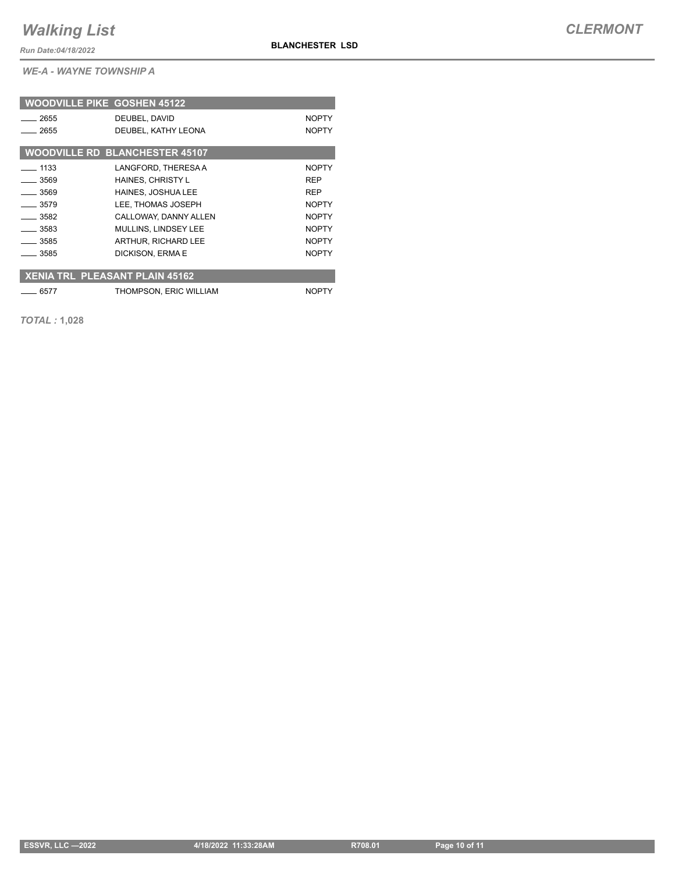**BLANCHESTER LSD**

*Run Date:04/18/2022*

*WE-A - WAYNE TOWNSHIP A*

| <b>WOODVILLE PIKE GOSHEN 45122</b>    |                                       |              |
|---------------------------------------|---------------------------------------|--------------|
| 2655                                  | DEUBEL, DAVID                         | <b>NOPTY</b> |
| 2655                                  | DEUBEL, KATHY LEONA                   | <b>NOPTY</b> |
|                                       | <b>WOODVILLE RD BLANCHESTER 45107</b> |              |
| $-1133$                               | LANGFORD, THERESA A                   | <b>NOPTY</b> |
| $-3569$                               | HAINES, CHRISTY L                     | <b>REP</b>   |
| $-3569$                               | <b>HAINES, JOSHUA LEE</b>             | <b>REP</b>   |
| 3579                                  | LEE, THOMAS JOSEPH                    | <b>NOPTY</b> |
| $-3582$                               | CALLOWAY, DANNY ALLEN                 | <b>NOPTY</b> |
| $-3583$                               | MULLINS, LINDSEY LEE                  | <b>NOPTY</b> |
| $-3585$                               | ARTHUR, RICHARD LEE                   | <b>NOPTY</b> |
| - 3585                                | DICKISON, ERMA E                      | <b>NOPTY</b> |
|                                       |                                       |              |
| <b>XENIA TRL PLEASANT PLAIN 45162</b> |                                       |              |
| 6577                                  | THOMPSON, ERIC WILLIAM                | <b>NOPTY</b> |

*TOTAL :* **1,028**